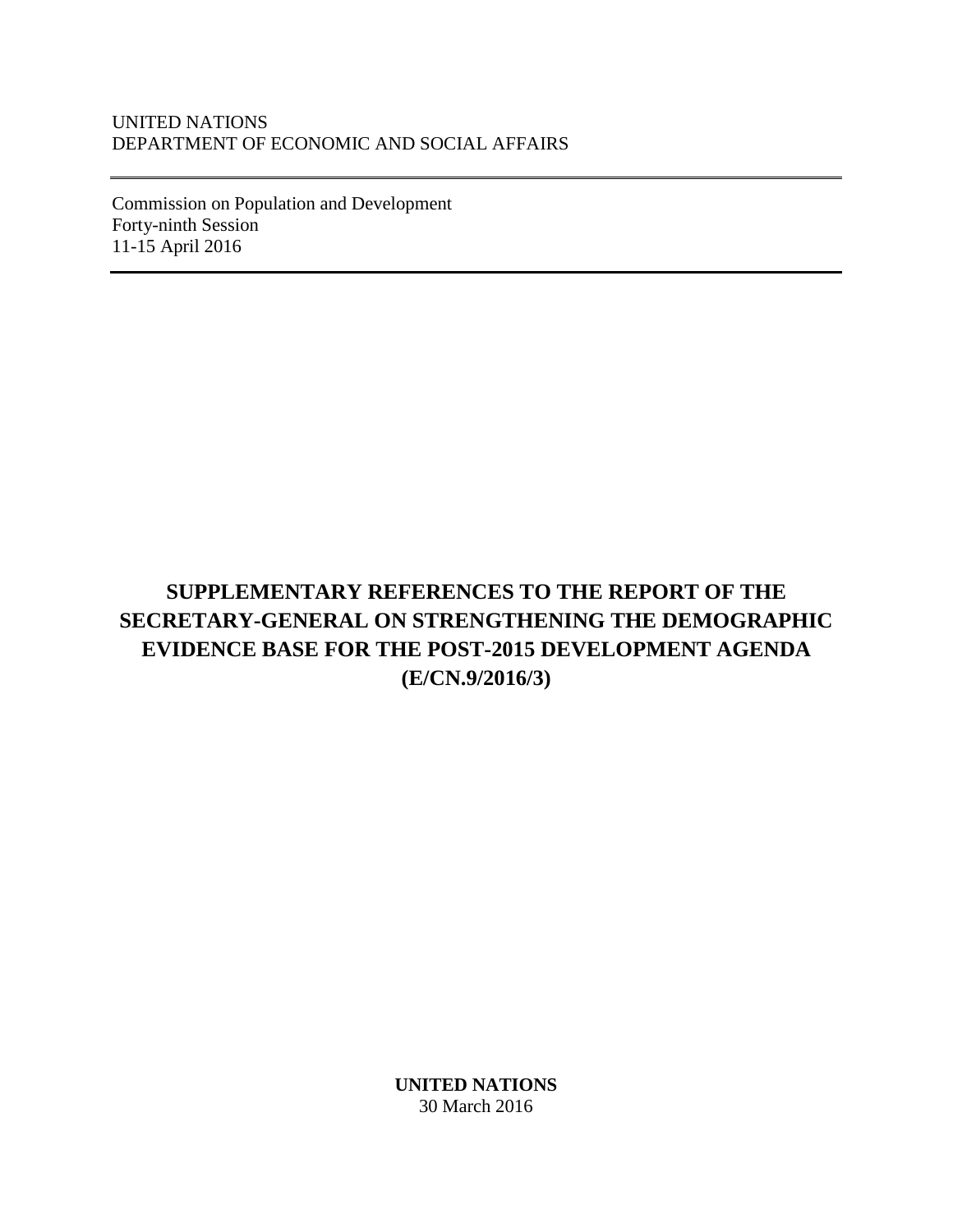#### UNITED NATIONS DEPARTMENT OF ECONOMIC AND SOCIAL AFFAIRS

Commission on Population and Development Forty-ninth Session 11-15 April 2016

# **SUPPLEMENTARY REFERENCES TO THE REPORT OF THE SECRETARY-GENERAL ON STRENGTHENING THE DEMOGRAPHIC EVIDENCE BASE FOR THE POST-2015 DEVELOPMENT AGENDA (E/CN.9/2016/3)**

**UNITED NATIONS** 30 March 2016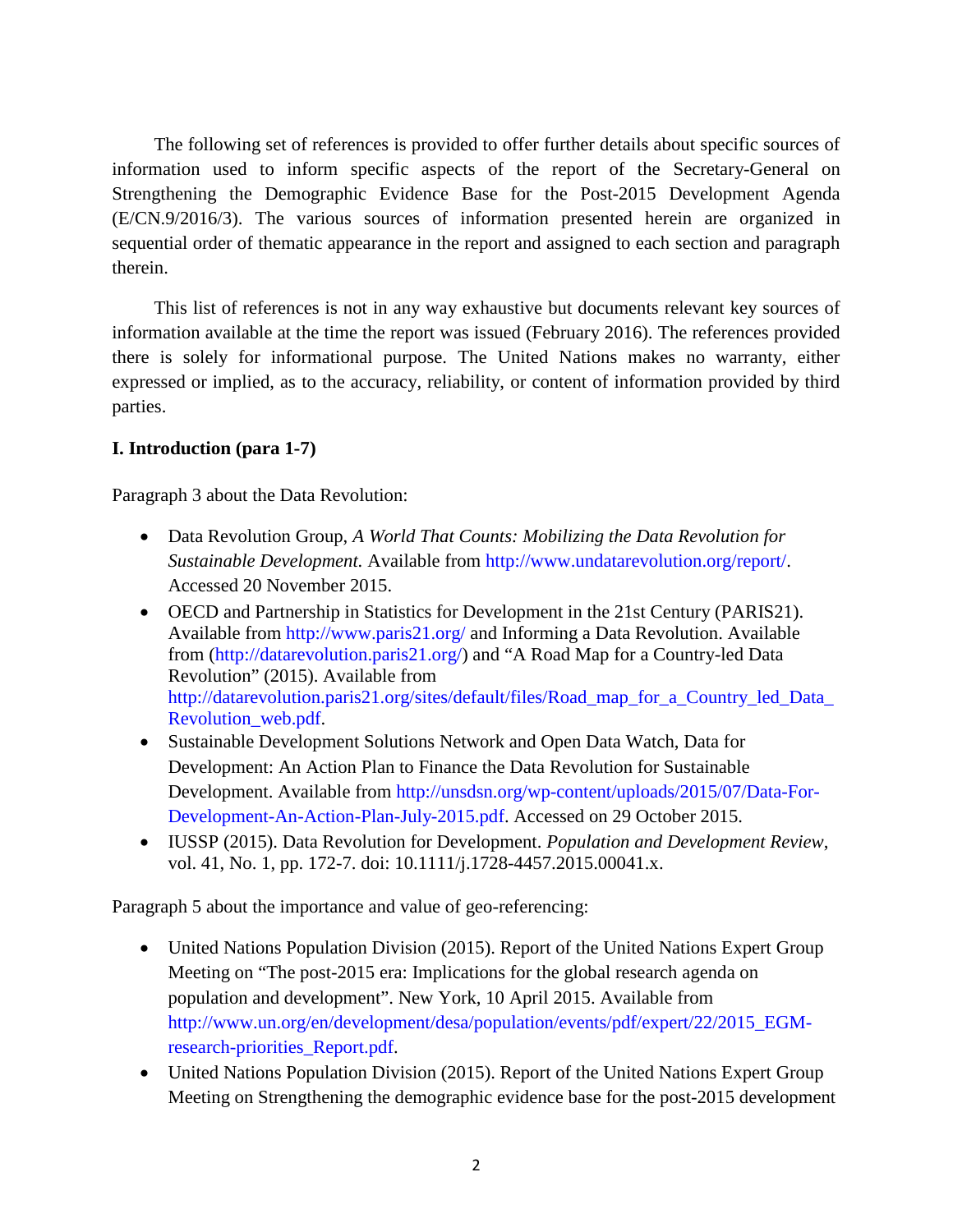The following set of references is provided to offer further details about specific sources of information used to inform specific aspects of the report of the Secretary-General on Strengthening the Demographic Evidence Base for the Post-2015 Development Agenda (E/CN.9/2016/3). The various sources of information presented herein are organized in sequential order of thematic appearance in the report and assigned to each section and paragraph therein.

This list of references is not in any way exhaustive but documents relevant key sources of information available at the time the report was issued (February 2016). The references provided there is solely for informational purpose. The United Nations makes no warranty, either expressed or implied, as to the accuracy, reliability, or content of information provided by third parties.

#### **I. Introduction (para 1-7)**

Paragraph 3 about the Data Revolution:

- Data Revolution Group, *A World That Counts: Mobilizing the Data Revolution for Sustainable Development.* Available from [http://www.undatarevolution.org/report/.](http://www.undatarevolution.org/report/) Accessed 20 November 2015.
- OECD and Partnership in Statistics for Development in the 21st Century (PARIS21). Available from<http://www.paris21.org/> and Informing a Data Revolution. Available from [\(http://datarevolution.paris21.org/\)](http://datarevolution.paris21.org/) and "A Road Map for a Country-led Data Revolution" (2015). Available from [http://datarevolution.paris21.org/sites/default/files/Road\\_map\\_for\\_a\\_Country\\_led\\_Data\\_](http://datarevolution.paris21.org/sites/default/files/Road_map_for_a_Country_led_Data_Revolution_web.pdf) [Revolution\\_web.pdf.](http://datarevolution.paris21.org/sites/default/files/Road_map_for_a_Country_led_Data_Revolution_web.pdf)
- Sustainable Development Solutions Network and Open Data Watch, Data for Development: An Action Plan to Finance the Data Revolution for Sustainable Development. Available from [http://unsdsn.org/wp-content/uploads/2015/07/Data-For-](http://unsdsn.org/wp-content/uploads/2015/07/Data-For-Development-An-Action-Plan-July-2015.pdf)[Development-An-Action-Plan-July-2015.pdf.](http://unsdsn.org/wp-content/uploads/2015/07/Data-For-Development-An-Action-Plan-July-2015.pdf) Accessed on 29 October 2015.
- IUSSP (2015). Data Revolution for Development. *Population and Development Review*, vol. 41, No. 1, pp. 172-7. doi: 10.1111/j.1728-4457.2015.00041.x.

Paragraph 5 about the importance and value of geo-referencing:

- United Nations Population Division (2015). Report of the United Nations Expert Group Meeting on "The post-2015 era: Implications for the global research agenda on population and development". New York, 10 April 2015. Available from [http://www.un.org/en/development/desa/population/events/pdf/expert/22/2015\\_EGM](http://www.un.org/en/development/desa/population/events/pdf/expert/22/2015_EGM-research-priorities_Report.pdf)[research-priorities\\_Report.pdf.](http://www.un.org/en/development/desa/population/events/pdf/expert/22/2015_EGM-research-priorities_Report.pdf)
- United Nations Population Division (2015). Report of the United Nations Expert Group Meeting on Strengthening the demographic evidence base for the post-2015 development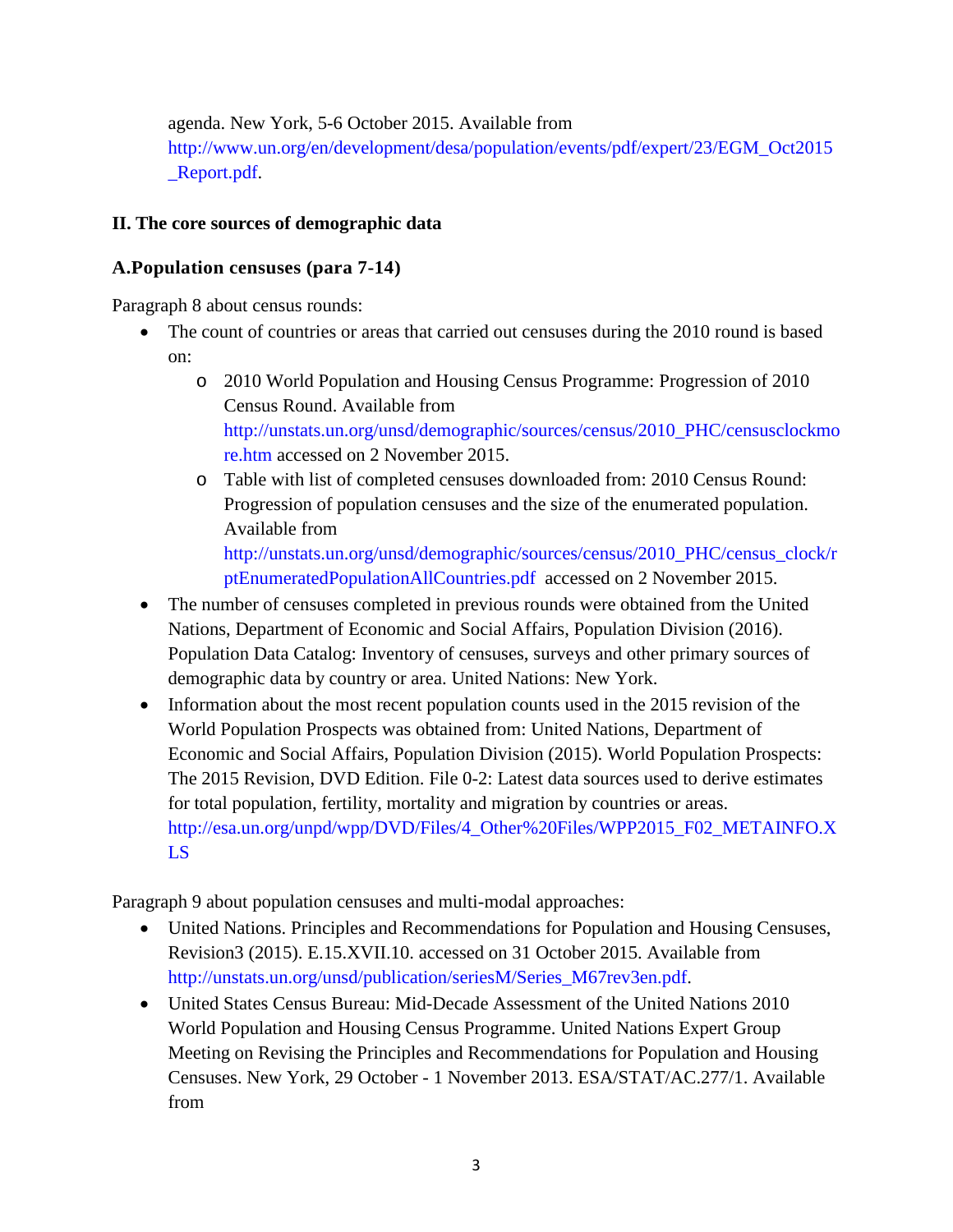agenda. New York, 5-6 October 2015. Available from [http://www.un.org/en/development/desa/population/events/pdf/expert/23/EGM\\_Oct2015](http://www.un.org/en/development/desa/population/events/pdf/expert/23/EGM_Oct2015_Report.pdf) [\\_Report.pdf.](http://www.un.org/en/development/desa/population/events/pdf/expert/23/EGM_Oct2015_Report.pdf)

#### **II. The core sources of demographic data**

#### **A.Population censuses (para 7-14)**

Paragraph 8 about census rounds:

- The count of countries or areas that carried out censuses during the 2010 round is based on:
	- o 2010 World Population and Housing Census Programme: Progression of 2010 Census Round. Available from [http://unstats.un.org/unsd/demographic/sources/census/2010\\_PHC/censusclockmo](http://unstats.un.org/unsd/demographic/sources/census/2010_PHC/censusclockmore.htm) [re.htm](http://unstats.un.org/unsd/demographic/sources/census/2010_PHC/censusclockmore.htm) accessed on 2 November 2015.
	- o Table with list of completed censuses downloaded from: 2010 Census Round: Progression of population censuses and the size of the enumerated population. Available from

[http://unstats.un.org/unsd/demographic/sources/census/2010\\_PHC/census\\_clock/r](http://unstats.un.org/unsd/demographic/sources/census/2010_PHC/census_clock/rptEnumeratedPopulationAllCountries.pdf) [ptEnumeratedPopulationAllCountries.pdf](http://unstats.un.org/unsd/demographic/sources/census/2010_PHC/census_clock/rptEnumeratedPopulationAllCountries.pdf) accessed on 2 November 2015.

- The number of censuses completed in previous rounds were obtained from the United Nations, Department of Economic and Social Affairs, Population Division (2016). Population Data Catalog: Inventory of censuses, surveys and other primary sources of demographic data by country or area. United Nations: New York.
- Information about the most recent population counts used in the 2015 revision of the World Population Prospects was obtained from: United Nations, Department of Economic and Social Affairs, Population Division (2015). World Population Prospects: The 2015 Revision, DVD Edition. File 0-2: Latest data sources used to derive estimates for total population, fertility, mortality and migration by countries or areas. [http://esa.un.org/unpd/wpp/DVD/Files/4\\_Other%20Files/WPP2015\\_F02\\_METAINFO.X](http://esa.un.org/unpd/wpp/DVD/Files/4_Other%20Files/WPP2015_F02_METAINFO.XLS) [LS](http://esa.un.org/unpd/wpp/DVD/Files/4_Other%20Files/WPP2015_F02_METAINFO.XLS)

Paragraph 9 about population censuses and multi-modal approaches:

- United Nations. Principles and Recommendations for Population and Housing Censuses, Revision3 (2015). E.15.XVII.10. accessed on 31 October 2015. Available from [http://unstats.un.org/unsd/publication/seriesM/Series\\_M67rev3en.pdf.](http://unstats.un.org/unsd/publication/seriesM/Series_M67rev3en.pdf)
- United States Census Bureau: Mid-Decade Assessment of the United Nations 2010 World Population and Housing Census Programme. United Nations Expert Group Meeting on Revising the Principles and Recommendations for Population and Housing Censuses. New York, 29 October - 1 November 2013. ESA/STAT/AC.277/1. Available from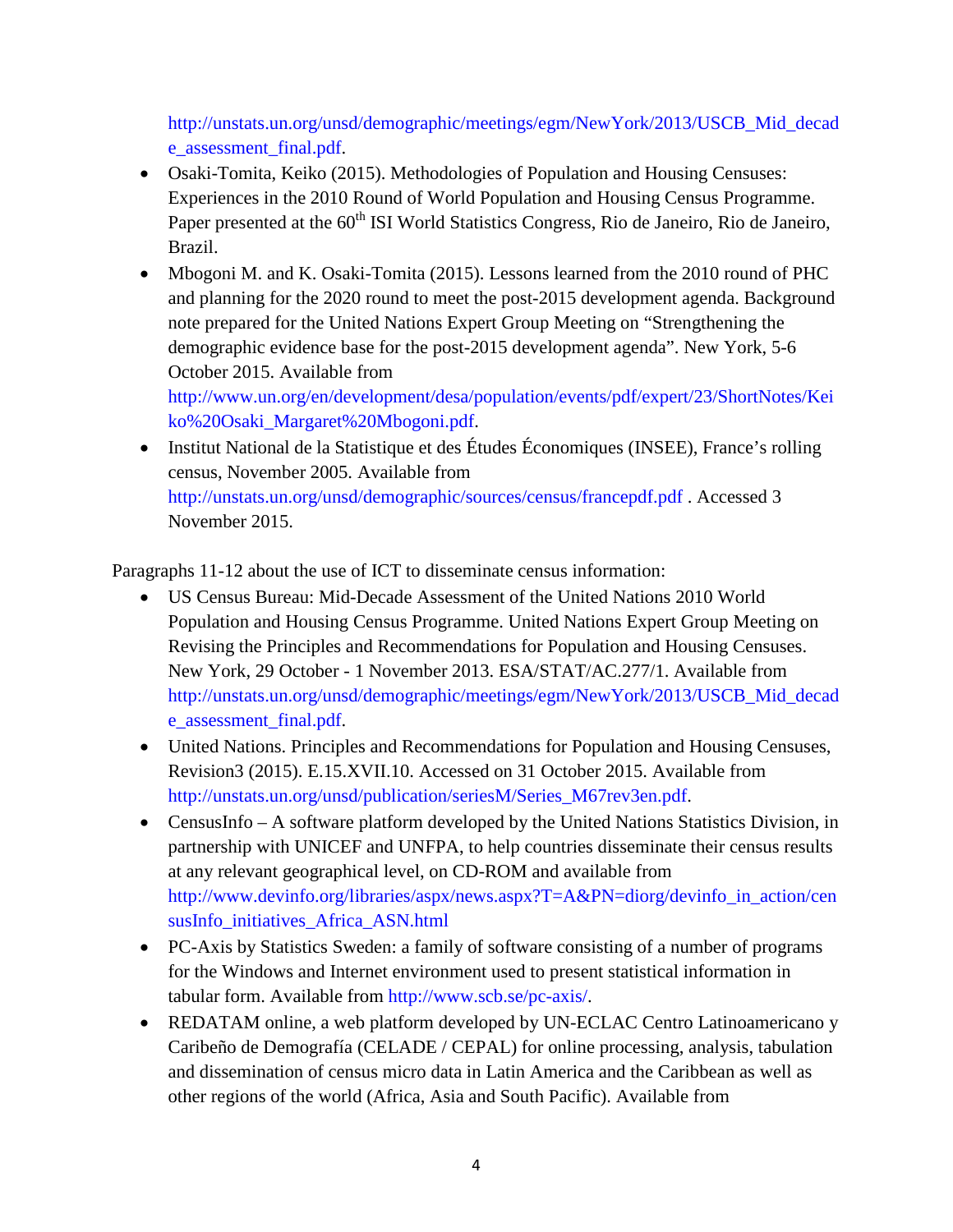[http://unstats.un.org/unsd/demographic/meetings/egm/NewYork/2013/USCB\\_Mid\\_decad](http://unstats.un.org/unsd/demographic/meetings/egm/NewYork/2013/USCB_Mid_decade_assessment_final.pdf) [e\\_assessment\\_final.pdf.](http://unstats.un.org/unsd/demographic/meetings/egm/NewYork/2013/USCB_Mid_decade_assessment_final.pdf)

- Osaki-Tomita, Keiko (2015). Methodologies of Population and Housing Censuses: Experiences in the 2010 Round of World Population and Housing Census Programme. Paper presented at the 60<sup>th</sup> ISI World Statistics Congress, Rio de Janeiro, Rio de Janeiro, Brazil.
- Mbogoni M. and K. Osaki-Tomita (2015). Lessons learned from the 2010 round of PHC and planning for the 2020 round to meet the post-2015 development agenda. Background note prepared for the United Nations Expert Group Meeting on "Strengthening the demographic evidence base for the post-2015 development agenda". New York, 5-6 October 2015. Available from

[http://www.un.org/en/development/desa/population/events/pdf/expert/23/ShortNotes/Kei](http://www.un.org/en/development/desa/population/events/pdf/expert/23/ShortNotes/Keiko%20Osaki_Margaret%20Mbogoni.pdf) [ko%20Osaki\\_Margaret%20Mbogoni.pdf.](http://www.un.org/en/development/desa/population/events/pdf/expert/23/ShortNotes/Keiko%20Osaki_Margaret%20Mbogoni.pdf)

• Institut National de la Statistique et des Études Économiques (INSEE), France's rolling census, November 2005. Available from <http://unstats.un.org/unsd/demographic/sources/census/francepdf.pdf> . Accessed 3 November 2015.

Paragraphs 11-12 about the use of ICT to disseminate census information:

- US Census Bureau: Mid-Decade Assessment of the United Nations 2010 World Population and Housing Census Programme. United Nations Expert Group Meeting on Revising the Principles and Recommendations for Population and Housing Censuses. New York, 29 October - 1 November 2013. ESA/STAT/AC.277/1. Available from [http://unstats.un.org/unsd/demographic/meetings/egm/NewYork/2013/USCB\\_Mid\\_decad](http://unstats.un.org/unsd/demographic/meetings/egm/NewYork/2013/USCB_Mid_decade_assessment_final.pdf) [e\\_assessment\\_final.pdf.](http://unstats.un.org/unsd/demographic/meetings/egm/NewYork/2013/USCB_Mid_decade_assessment_final.pdf)
- United Nations. Principles and Recommendations for Population and Housing Censuses, Revision3 (2015). E.15.XVII.10. Accessed on 31 October 2015. Available from [http://unstats.un.org/unsd/publication/seriesM/Series\\_M67rev3en.pdf.](http://unstats.un.org/unsd/publication/seriesM/Series_M67rev3en.pdf)
- CensusInfo A software platform developed by the United Nations Statistics Division, in partnership with UNICEF and UNFPA, to help countries disseminate their census results at any relevant geographical level, on CD-ROM and available from [http://www.devinfo.org/libraries/aspx/news.aspx?T=A&PN=diorg/devinfo\\_in\\_action/cen](http://www.devinfo.org/libraries/aspx/news.aspx?T=A&PN=diorg/devinfo_in_action/censusInfo_initiatives_Africa_ASN.html) [susInfo\\_initiatives\\_Africa\\_ASN.html](http://www.devinfo.org/libraries/aspx/news.aspx?T=A&PN=diorg/devinfo_in_action/censusInfo_initiatives_Africa_ASN.html)
- PC-Axis by Statistics Sweden: a family of software consisting of a number of programs for the Windows and Internet environment used to present statistical information in tabular form. Available from [http://www.scb.se/pc-axis/.](http://www.scb.se/pc-axis/)
- REDATAM online, a web platform developed by UN-ECLAC Centro Latinoamericano y Caribeño de Demografía (CELADE / CEPAL) for online processing, analysis, tabulation and dissemination of census micro data in Latin America and the Caribbean as well as other regions of the world (Africa, Asia and South Pacific). Available from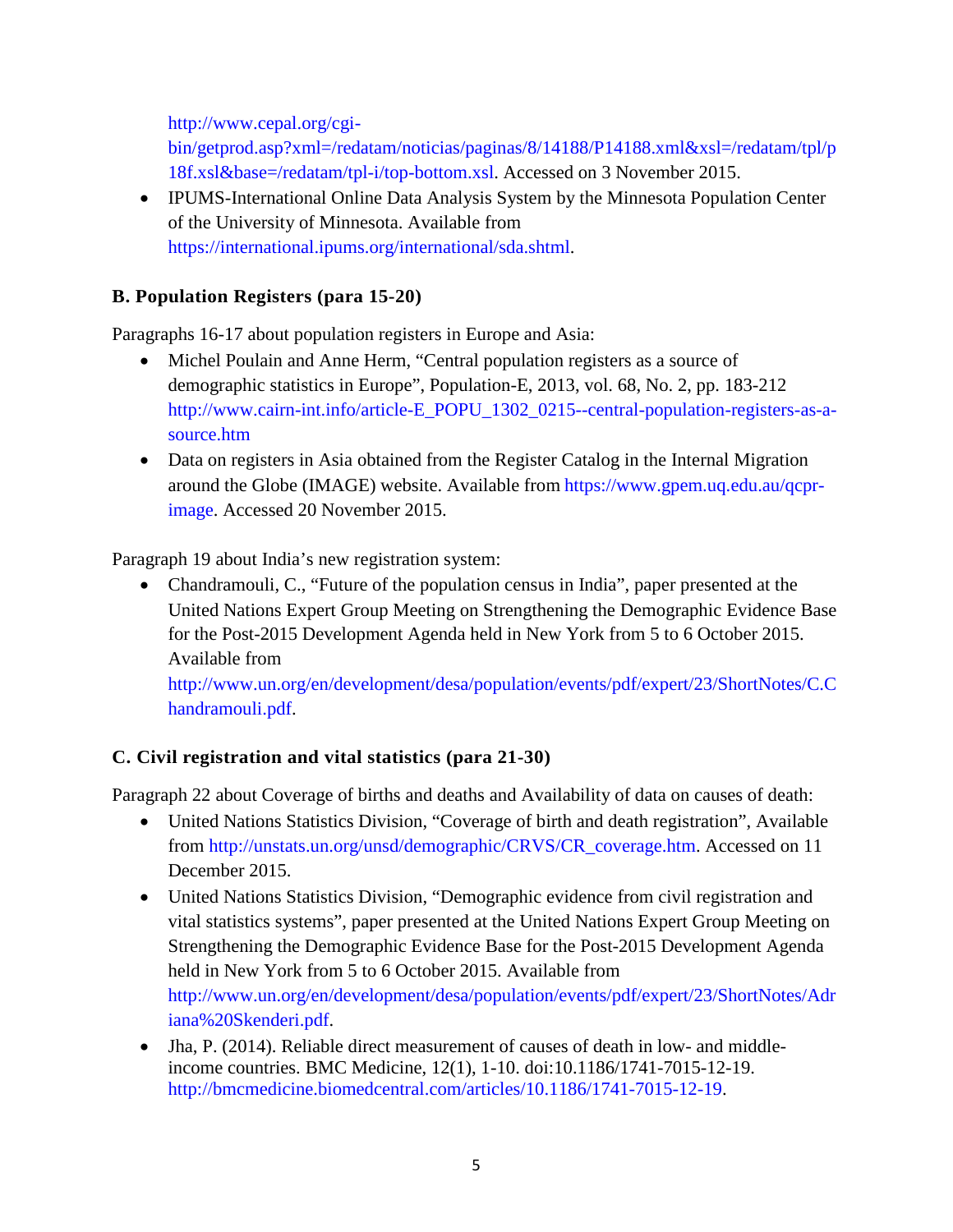[http://www.cepal.org/cgi-](http://www.cepal.org/cgi-bin/getprod.asp?xml=/redatam/noticias/paginas/8/14188/P14188.xml&xsl=/redatam/tpl/p18f.xsl&base=/redatam/tpl-i/top-bottom.xsl)

[bin/getprod.asp?xml=/redatam/noticias/paginas/8/14188/P14188.xml&xsl=/redatam/tpl/p](http://www.cepal.org/cgi-bin/getprod.asp?xml=/redatam/noticias/paginas/8/14188/P14188.xml&xsl=/redatam/tpl/p18f.xsl&base=/redatam/tpl-i/top-bottom.xsl) [18f.xsl&base=/redatam/tpl-i/top-bottom.xsl.](http://www.cepal.org/cgi-bin/getprod.asp?xml=/redatam/noticias/paginas/8/14188/P14188.xml&xsl=/redatam/tpl/p18f.xsl&base=/redatam/tpl-i/top-bottom.xsl) Accessed on 3 November 2015.

• IPUMS-International Online Data Analysis System by the Minnesota Population Center of the University of Minnesota. Available from [https://international.ipums.org/international/sda.shtml.](https://international.ipums.org/international/sda.shtml)

## **B. Population Registers (para 15-20)**

Paragraphs 16-17 about population registers in Europe and Asia:

- Michel Poulain and Anne Herm, "Central population registers as a source of demographic statistics in Europe", Population-E, 2013, vol. 68, No. 2, pp. 183-212 [http://www.cairn-int.info/article-E\\_POPU\\_1302\\_0215--central-population-registers-as-a](http://www.cairn-int.info/article-E_POPU_1302_0215--central-population-registers-as-a-source.htm)[source.htm](http://www.cairn-int.info/article-E_POPU_1302_0215--central-population-registers-as-a-source.htm)
- Data on registers in Asia obtained from the Register Catalog in the Internal Migration around the Globe (IMAGE) website. Available from [https://www.gpem.uq.edu.au/qcpr](https://www.gpem.uq.edu.au/qcpr-image)[image.](https://www.gpem.uq.edu.au/qcpr-image) Accessed 20 November 2015.

Paragraph 19 about India's new registration system:

• Chandramouli, C., "Future of the population census in India", paper presented at the United Nations Expert Group Meeting on Strengthening the Demographic Evidence Base for the Post-2015 Development Agenda held in New York from 5 to 6 October 2015. Available from

[http://www.un.org/en/development/desa/population/events/pdf/expert/23/ShortNotes/C.C](http://www.un.org/en/development/desa/population/events/pdf/expert/23/ShortNotes/C.Chandramouli.pdf) [handramouli.pdf.](http://www.un.org/en/development/desa/population/events/pdf/expert/23/ShortNotes/C.Chandramouli.pdf)

## **C. Civil registration and vital statistics (para 21-30)**

Paragraph 22 about Coverage of births and deaths and Availability of data on causes of death:

- United Nations Statistics Division, "Coverage of birth and death registration", Available from [http://unstats.un.org/unsd/demographic/CRVS/CR\\_coverage.htm.](http://unstats.un.org/unsd/demographic/CRVS/CR_coverage.htm) Accessed on 11 December 2015.
- United Nations Statistics Division, "Demographic evidence from civil registration and vital statistics systems", paper presented at the United Nations Expert Group Meeting on Strengthening the Demographic Evidence Base for the Post-2015 Development Agenda held in New York from 5 to 6 October 2015. Available from [http://www.un.org/en/development/desa/population/events/pdf/expert/23/ShortNotes/Adr](http://www.un.org/en/development/desa/population/events/pdf/expert/23/ShortNotes/Adriana%20Skenderi.pdf) [iana%20Skenderi.pdf.](http://www.un.org/en/development/desa/population/events/pdf/expert/23/ShortNotes/Adriana%20Skenderi.pdf)
- Jha, P. (2014). Reliable direct measurement of causes of death in low- and middleincome countries. BMC Medicine, 12(1), 1-10. doi:10.1186/1741-7015-12-19. [http://bmcmedicine.biomedcentral.com/articles/10.1186/1741-7015-12-19.](http://bmcmedicine.biomedcentral.com/articles/10.1186/1741-7015-12-19)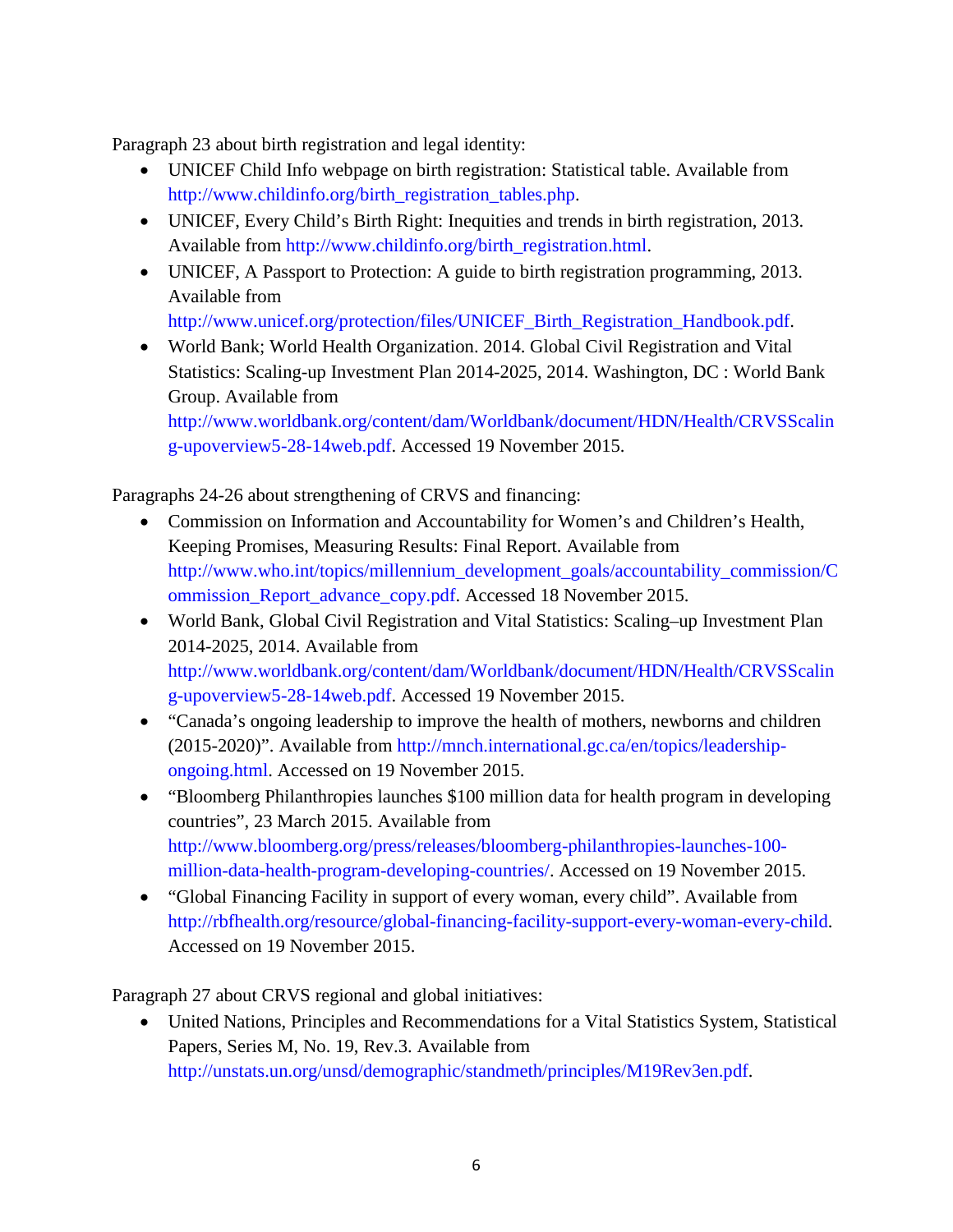Paragraph 23 about birth registration and legal identity:

- UNICEF Child Info webpage on birth registration: Statistical table. Available from [http://www.childinfo.org/birth\\_registration\\_tables.php.](http://www.childinfo.org/birth_registration_tables.php)
- UNICEF, Every Child's Birth Right: Inequities and trends in birth registration, 2013. Available from [http://www.childinfo.org/birth\\_registration.html.](http://www.childinfo.org/birth_registration.html)
- UNICEF, A Passport to Protection: A guide to birth registration programming, 2013. Available from

[http://www.unicef.org/protection/files/UNICEF\\_Birth\\_Registration\\_Handbook.pdf.](http://www.unicef.org/protection/files/UNICEF_Birth_Registration_Handbook.pdf)

• World Bank; World Health Organization. 2014. Global Civil Registration and Vital Statistics: Scaling-up Investment Plan 2014-2025, 2014. Washington, DC : World Bank Group. Available from

[http://www.worldbank.org/content/dam/Worldbank/document/HDN/Health/CRVSScalin](http://www.worldbank.org/content/dam/Worldbank/document/HDN/Health/CRVSScaling-upoverview5-28-14web.pdf) [g-upoverview5-28-14web.pdf.](http://www.worldbank.org/content/dam/Worldbank/document/HDN/Health/CRVSScaling-upoverview5-28-14web.pdf) Accessed 19 November 2015.

Paragraphs 24-26 about strengthening of CRVS and financing:

- Commission on Information and Accountability for Women's and Children's Health, Keeping Promises, Measuring Results: Final Report. Available from [http://www.who.int/topics/millennium\\_development\\_goals/accountability\\_commission/C](http://www.who.int/topics/millennium_development_goals/accountability_commission/Commission_Report_advance_copy.pdf) [ommission\\_Report\\_advance\\_copy.pdf.](http://www.who.int/topics/millennium_development_goals/accountability_commission/Commission_Report_advance_copy.pdf) Accessed 18 November 2015.
- World Bank, Global Civil Registration and Vital Statistics: Scaling–up Investment Plan 2014-2025, 2014. Available from [http://www.worldbank.org/content/dam/Worldbank/document/HDN/Health/CRVSScalin](http://www.worldbank.org/content/dam/Worldbank/document/HDN/Health/CRVSScaling-upoverview5-28-14web.pdf) [g-upoverview5-28-14web.pdf.](http://www.worldbank.org/content/dam/Worldbank/document/HDN/Health/CRVSScaling-upoverview5-28-14web.pdf) Accessed 19 November 2015.
- "Canada's ongoing leadership to improve the health of mothers, newborns and children (2015-2020)". Available from [http://mnch.international.gc.ca/en/topics/leadership](http://mnch.international.gc.ca/en/topics/leadership-ongoing.html)[ongoing.html.](http://mnch.international.gc.ca/en/topics/leadership-ongoing.html) Accessed on 19 November 2015.
- "Bloomberg Philanthropies launches \$100 million data for health program in developing countries", 23 March 2015. Available from [http://www.bloomberg.org/press/releases/bloomberg-philanthropies-launches-100](http://www.bloomberg.org/press/releases/bloomberg-philanthropies-launches-100-million-data-health-program-developing-countries/) [million-data-health-program-developing-countries/.](http://www.bloomberg.org/press/releases/bloomberg-philanthropies-launches-100-million-data-health-program-developing-countries/) Accessed on 19 November 2015.
- "Global Financing Facility in support of every woman, every child". Available from [http://rbfhealth.org/resource/global-financing-facility-support-every-woman-every-child.](http://rbfhealth.org/resource/global-financing-facility-support-every-woman-every-child) Accessed on 19 November 2015.

Paragraph 27 about CRVS regional and global initiatives:

• United Nations, Principles and Recommendations for a Vital Statistics System, Statistical Papers, Series M, No. 19, Rev.3. Available from [http://unstats.un.org/unsd/demographic/standmeth/principles/M19Rev3en.pdf.](http://unstats.un.org/unsd/demographic/standmeth/principles/M19Rev3en.pdf)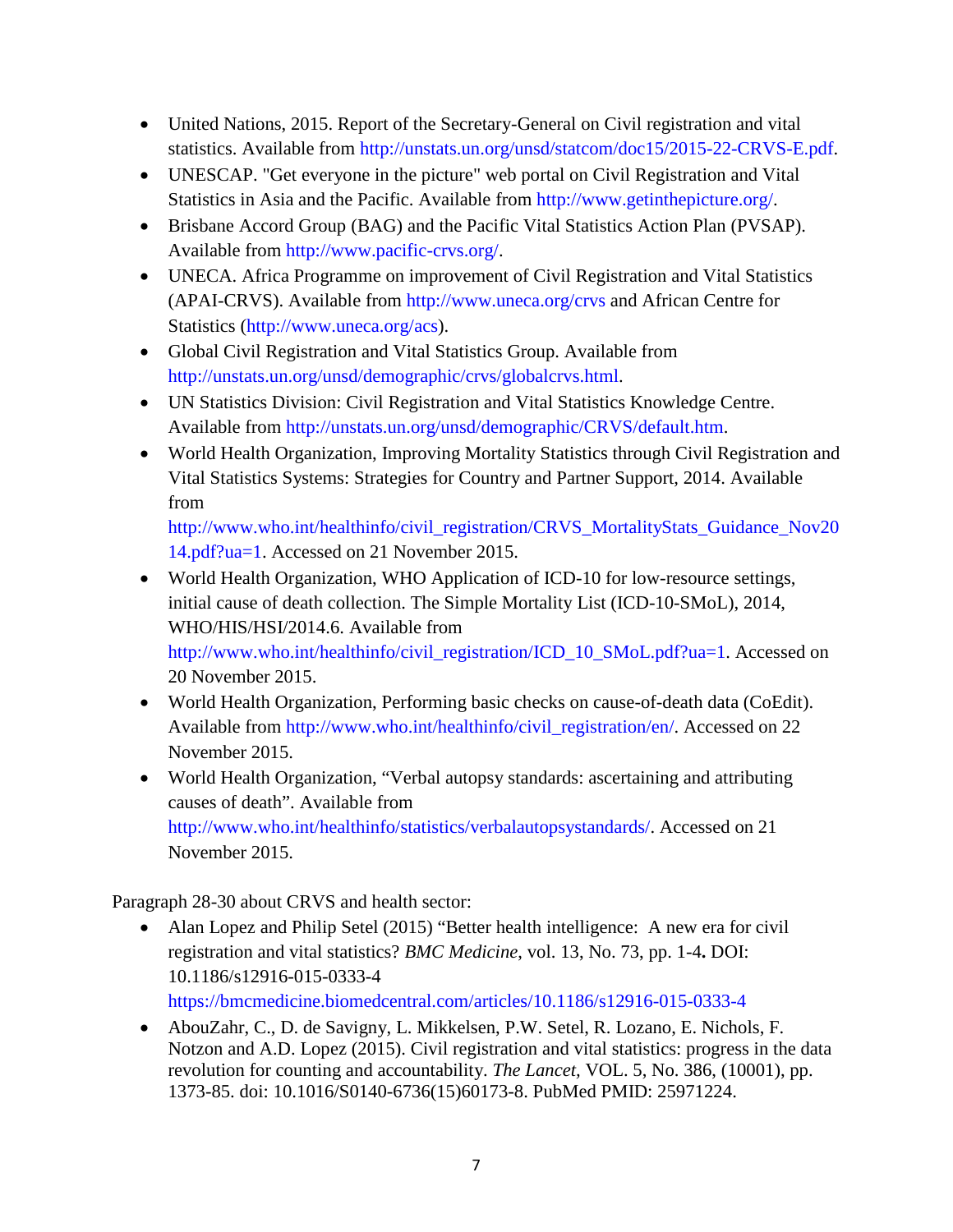- United Nations, 2015. Report of the Secretary-General on Civil registration and vital statistics. Available from [http://unstats.un.org/unsd/statcom/doc15/2015-22-CRVS-E.pdf.](http://unstats.un.org/unsd/statcom/doc15/2015-22-CRVS-E.pdf)
- UNESCAP. "Get everyone in the picture" web portal on Civil Registration and Vital Statistics in Asia and the Pacific. Available from [http://www.getinthepicture.org/.](http://www.getinthepicture.org/)
- Brisbane Accord Group (BAG) and the Pacific Vital Statistics Action Plan (PVSAP). Available from [http://www.pacific-crvs.org/.](http://www.pacific-crvs.org/)
- UNECA. Africa Programme on improvement of Civil Registration and Vital Statistics (APAI-CRVS). Available from<http://www.uneca.org/crvs> and African Centre for Statistics [\(http://www.uneca.org/acs\)](http://www.uneca.org/acs).
- Global Civil Registration and Vital Statistics Group. Available from [http://unstats.un.org/unsd/demographic/crvs/globalcrvs.html.](http://unstats.un.org/unsd/demographic/crvs/globalcrvs.html)
- UN Statistics Division: Civil Registration and Vital Statistics Knowledge Centre. Available from [http://unstats.un.org/unsd/demographic/CRVS/default.htm.](http://unstats.un.org/unsd/demographic/CRVS/default.htm)
- World Health Organization, Improving Mortality Statistics through Civil Registration and Vital Statistics Systems: Strategies for Country and Partner Support, 2014. Available from

[http://www.who.int/healthinfo/civil\\_registration/CRVS\\_MortalityStats\\_Guidance\\_Nov20](http://www.who.int/healthinfo/civil_registration/CRVS_MortalityStats_Guidance_Nov2014.pdf?ua=1) [14.pdf?ua=1.](http://www.who.int/healthinfo/civil_registration/CRVS_MortalityStats_Guidance_Nov2014.pdf?ua=1) Accessed on 21 November 2015.

- World Health Organization, WHO Application of ICD-10 for low-resource settings, initial cause of death collection. The Simple Mortality List (ICD-10-SMoL), 2014, WHO/HIS/HSI/2014.6. Available from [http://www.who.int/healthinfo/civil\\_registration/ICD\\_10\\_SMoL.pdf?ua=1.](http://www.who.int/healthinfo/civil_registration/ICD_10_SMoL.pdf?ua=1) Accessed on 20 November 2015.
- World Health Organization, Performing basic checks on cause-of-death data (CoEdit). Available from [http://www.who.int/healthinfo/civil\\_registration/en/.](http://www.who.int/healthinfo/civil_registration/en/) Accessed on 22 November 2015.
- World Health Organization, "Verbal autopsy standards: ascertaining and attributing causes of death". Available from [http://www.who.int/healthinfo/statistics/verbalautopsystandards/.](http://www.who.int/healthinfo/statistics/verbalautopsystandards/) Accessed on 21 November 2015.

Paragraph 28-30 about CRVS and health sector:

- Alan Lopez and Philip Setel (2015) "Better health intelligence: A new era for civil registration and vital statistics? *BMC Medicine*, vol. 13, No. 73, pp. 1-4**.** DOI: 10.1186/s12916-015-0333-4 <https://bmcmedicine.biomedcentral.com/articles/10.1186/s12916-015-0333-4>
- AbouZahr, C., D. de Savigny, L. Mikkelsen, P.W. Setel, R. Lozano, E. Nichols, F. Notzon and A.D. Lopez (2015). Civil registration and vital statistics: progress in the data revolution for counting and accountability. *The Lancet,* VOL. 5, No. 386, (10001), pp. 1373-85. doi: 10.1016/S0140-6736(15)60173-8. PubMed PMID: 25971224.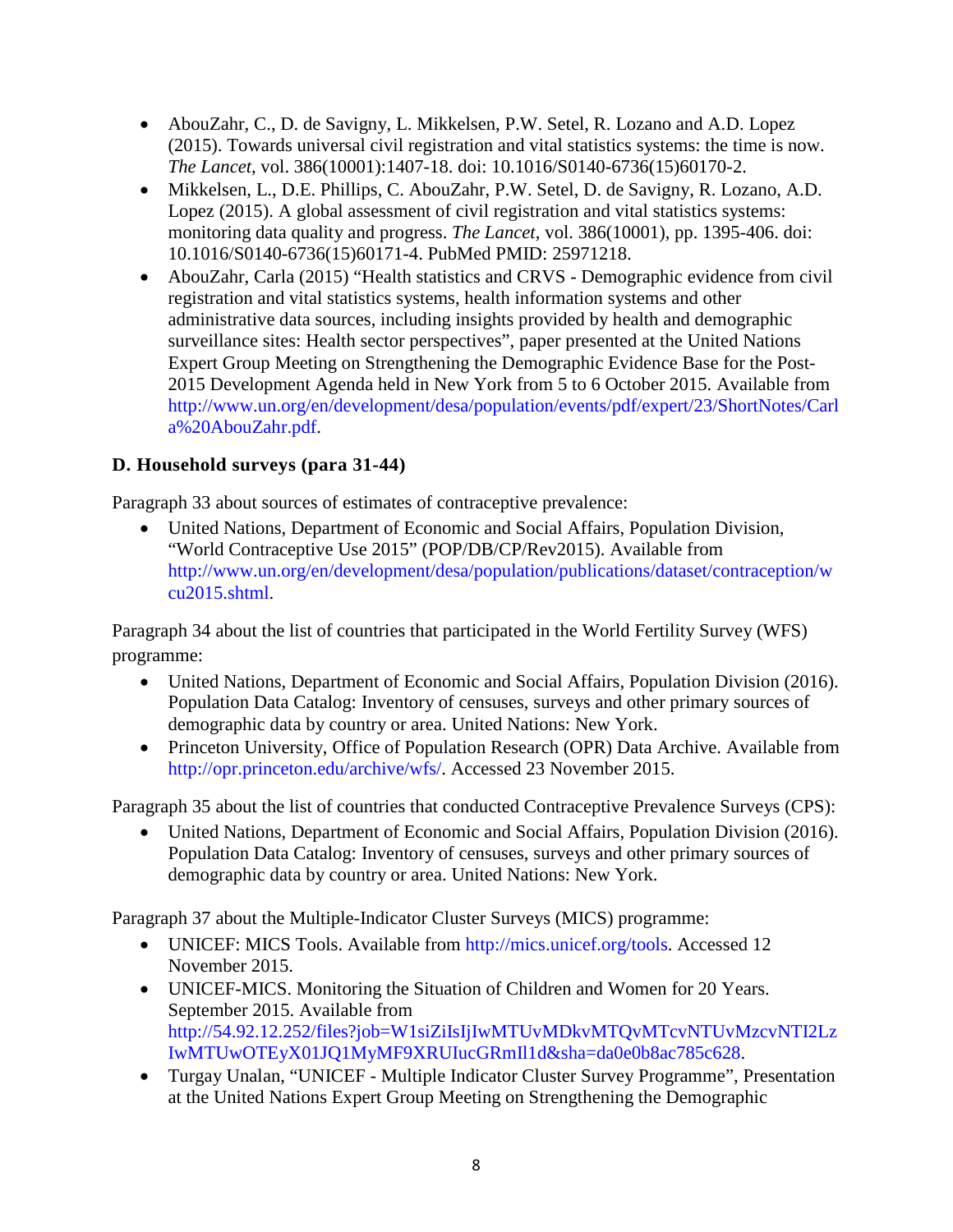- AbouZahr, C., D. de Savigny, L. Mikkelsen, P.W. Setel, R. Lozano and A.D. Lopez (2015). Towards universal civil registration and vital statistics systems: the time is now. *The Lancet*, vol. 386(10001):1407-18. doi: 10.1016/S0140-6736(15)60170-2.
- Mikkelsen, L., D.E. Phillips, C. AbouZahr, P.W. Setel, D. de Savigny, R. Lozano, A.D. Lopez (2015). A global assessment of civil registration and vital statistics systems: monitoring data quality and progress. *The Lancet*, vol. 386(10001), pp. 1395-406. doi: 10.1016/S0140-6736(15)60171-4. PubMed PMID: 25971218.
- AbouZahr, Carla (2015) "Health statistics and CRVS Demographic evidence from civil registration and vital statistics systems, health information systems and other administrative data sources, including insights provided by health and demographic surveillance sites: Health sector perspectives", paper presented at the United Nations Expert Group Meeting on Strengthening the Demographic Evidence Base for the Post-2015 Development Agenda held in New York from 5 to 6 October 2015. Available from [http://www.un.org/en/development/desa/population/events/pdf/expert/23/ShortNotes/Carl](http://www.un.org/en/development/desa/population/events/pdf/expert/23/ShortNotes/Carla%20AbouZahr.pdf) [a%20AbouZahr.pdf.](http://www.un.org/en/development/desa/population/events/pdf/expert/23/ShortNotes/Carla%20AbouZahr.pdf)

## **D. Household surveys (para 31-44)**

Paragraph 33 about sources of estimates of contraceptive prevalence:

• United Nations, Department of Economic and Social Affairs, Population Division, "World Contraceptive Use 2015" (POP/DB/CP/Rev2015). Available from [http://www.un.org/en/development/desa/population/publications/dataset/contraception/w](http://www.un.org/en/development/desa/population/publications/dataset/contraception/wcu2015.shtml) [cu2015.shtml.](http://www.un.org/en/development/desa/population/publications/dataset/contraception/wcu2015.shtml)

Paragraph 34 about the list of countries that participated in the World Fertility Survey (WFS) programme:

- United Nations, Department of Economic and Social Affairs, Population Division (2016). Population Data Catalog: Inventory of censuses, surveys and other primary sources of demographic data by country or area. United Nations: New York.
- Princeton University, Office of Population Research (OPR) Data Archive. Available from [http://opr.princeton.edu/archive/wfs/.](http://opr.princeton.edu/archive/wfs/) Accessed 23 November 2015.

Paragraph 35 about the list of countries that conducted Contraceptive Prevalence Surveys (CPS):

• United Nations, Department of Economic and Social Affairs, Population Division (2016). Population Data Catalog: Inventory of censuses, surveys and other primary sources of demographic data by country or area. United Nations: New York.

Paragraph 37 about the Multiple-Indicator Cluster Surveys (MICS) programme:

- UNICEF: MICS Tools. Available from [http://mics.unicef.org/tools.](http://mics.unicef.org/tools) Accessed 12 November 2015.
- UNICEF-MICS. Monitoring the Situation of Children and Women for 20 Years. September 2015. Available from [http://54.92.12.252/files?job=W1siZiIsIjIwMTUvMDkvMTQvMTcvNTUvMzcvNTI2Lz](http://54.92.12.252/files?job=W1siZiIsIjIwMTUvMDkvMTQvMTcvNTUvMzcvNTI2LzIwMTUwOTEyX01JQ1MyMF9XRUIucGRmIl1d&sha=da0e0b8ac785c628) [IwMTUwOTEyX01JQ1MyMF9XRUIucGRmIl1d&sha=da0e0b8ac785c628.](http://54.92.12.252/files?job=W1siZiIsIjIwMTUvMDkvMTQvMTcvNTUvMzcvNTI2LzIwMTUwOTEyX01JQ1MyMF9XRUIucGRmIl1d&sha=da0e0b8ac785c628)
- Turgay Unalan, "UNICEF Multiple Indicator Cluster Survey Programme", Presentation at the United Nations Expert Group Meeting on Strengthening the Demographic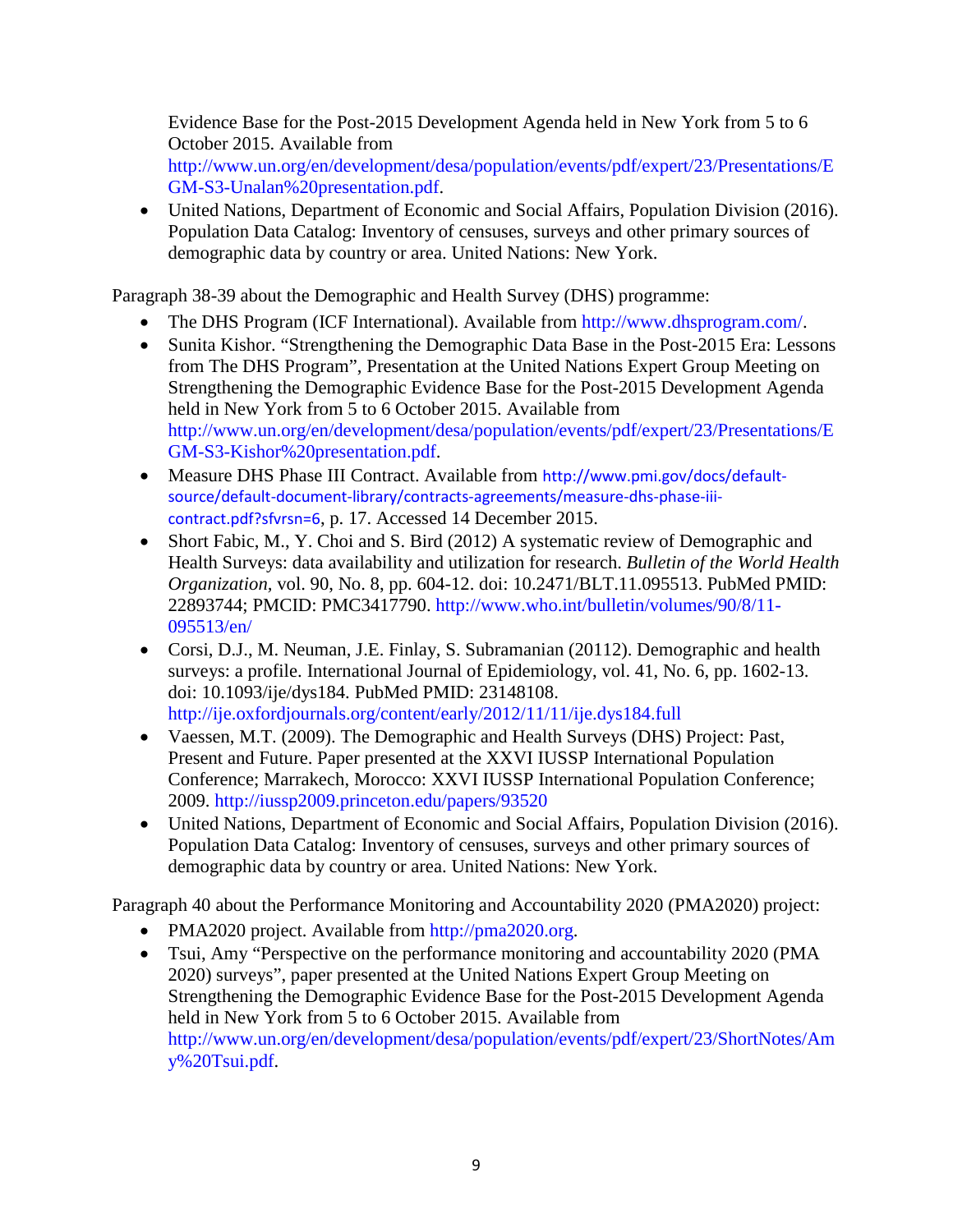Evidence Base for the Post-2015 Development Agenda held in New York from 5 to 6 October 2015. Available from

[http://www.un.org/en/development/desa/population/events/pdf/expert/23/Presentations/E](http://www.un.org/en/development/desa/population/events/pdf/expert/23/Presentations/EGM-S3-Unalan%20presentation.pdf) [GM-S3-Unalan%20presentation.pdf.](http://www.un.org/en/development/desa/population/events/pdf/expert/23/Presentations/EGM-S3-Unalan%20presentation.pdf)

• United Nations, Department of Economic and Social Affairs, Population Division (2016). Population Data Catalog: Inventory of censuses, surveys and other primary sources of demographic data by country or area. United Nations: New York.

Paragraph 38-39 about the Demographic and Health Survey (DHS) programme:

- The DHS Program (ICF International). Available from [http://www.dhsprogram.com/.](http://www.dhsprogram.com/)
- Sunita Kishor. "Strengthening the Demographic Data Base in the Post-2015 Era: Lessons from The DHS Program", Presentation at the United Nations Expert Group Meeting on Strengthening the Demographic Evidence Base for the Post-2015 Development Agenda held in New York from 5 to 6 October 2015. Available from [http://www.un.org/en/development/desa/population/events/pdf/expert/23/Presentations/E](http://www.un.org/en/development/desa/population/events/pdf/expert/23/Presentations/EGM-S3-Kishor%20presentation.pdf) [GM-S3-Kishor%20presentation.pdf.](http://www.un.org/en/development/desa/population/events/pdf/expert/23/Presentations/EGM-S3-Kishor%20presentation.pdf)
- Measure DHS Phase III Contract. Available from [http://www.pmi.gov/docs/default](http://www.pmi.gov/docs/default-source/default-document-library/contracts-agreements/measure-dhs-phase-iii-contract.pdf?sfvrsn=6)[source/default-document-library/contracts-agreements/measure-dhs-phase-iii](http://www.pmi.gov/docs/default-source/default-document-library/contracts-agreements/measure-dhs-phase-iii-contract.pdf?sfvrsn=6)[contract.pdf?sfvrsn=6](http://www.pmi.gov/docs/default-source/default-document-library/contracts-agreements/measure-dhs-phase-iii-contract.pdf?sfvrsn=6), p. 17. Accessed 14 December 2015.
- Short Fabic, M., Y. Choi and S. Bird (2012) A systematic review of Demographic and Health Surveys: data availability and utilization for research. *Bulletin of the World Health Organization,* vol. 90, No. 8, pp. 604-12. doi: 10.2471/BLT.11.095513. PubMed PMID: 22893744; PMCID: PMC3417790. [http://www.who.int/bulletin/volumes/90/8/11-](http://www.who.int/bulletin/volumes/90/8/11-095513/en/) [095513/en/](http://www.who.int/bulletin/volumes/90/8/11-095513/en/)
- Corsi, D.J., M. Neuman, J.E. Finlay, S. Subramanian (20112). Demographic and health surveys: a profile. International Journal of Epidemiology, vol. 41, No. 6, pp. 1602-13. doi: 10.1093/ije/dys184. PubMed PMID: 23148108. <http://ije.oxfordjournals.org/content/early/2012/11/11/ije.dys184.full>
- Vaessen, M.T. (2009). The Demographic and Health Surveys (DHS) Project: Past, Present and Future. Paper presented at the XXVI IUSSP International Population Conference; Marrakech, Morocco: XXVI IUSSP International Population Conference; 2009.<http://iussp2009.princeton.edu/papers/93520>
- United Nations, Department of Economic and Social Affairs, Population Division (2016). Population Data Catalog: Inventory of censuses, surveys and other primary sources of demographic data by country or area. United Nations: New York.

Paragraph 40 about the Performance Monitoring and Accountability 2020 (PMA2020) project:

- PMA2020 project. Available from [http://pma2020.org.](http://pma2020.org/)
- Tsui, Amy "Perspective on the performance monitoring and accountability 2020 (PMA) 2020) surveys", paper presented at the United Nations Expert Group Meeting on Strengthening the Demographic Evidence Base for the Post-2015 Development Agenda held in New York from 5 to 6 October 2015. Available from [http://www.un.org/en/development/desa/population/events/pdf/expert/23/ShortNotes/Am](http://www.un.org/en/development/desa/population/events/pdf/expert/23/ShortNotes/Amy%20Tsui.pdf) [y%20Tsui.pdf.](http://www.un.org/en/development/desa/population/events/pdf/expert/23/ShortNotes/Amy%20Tsui.pdf)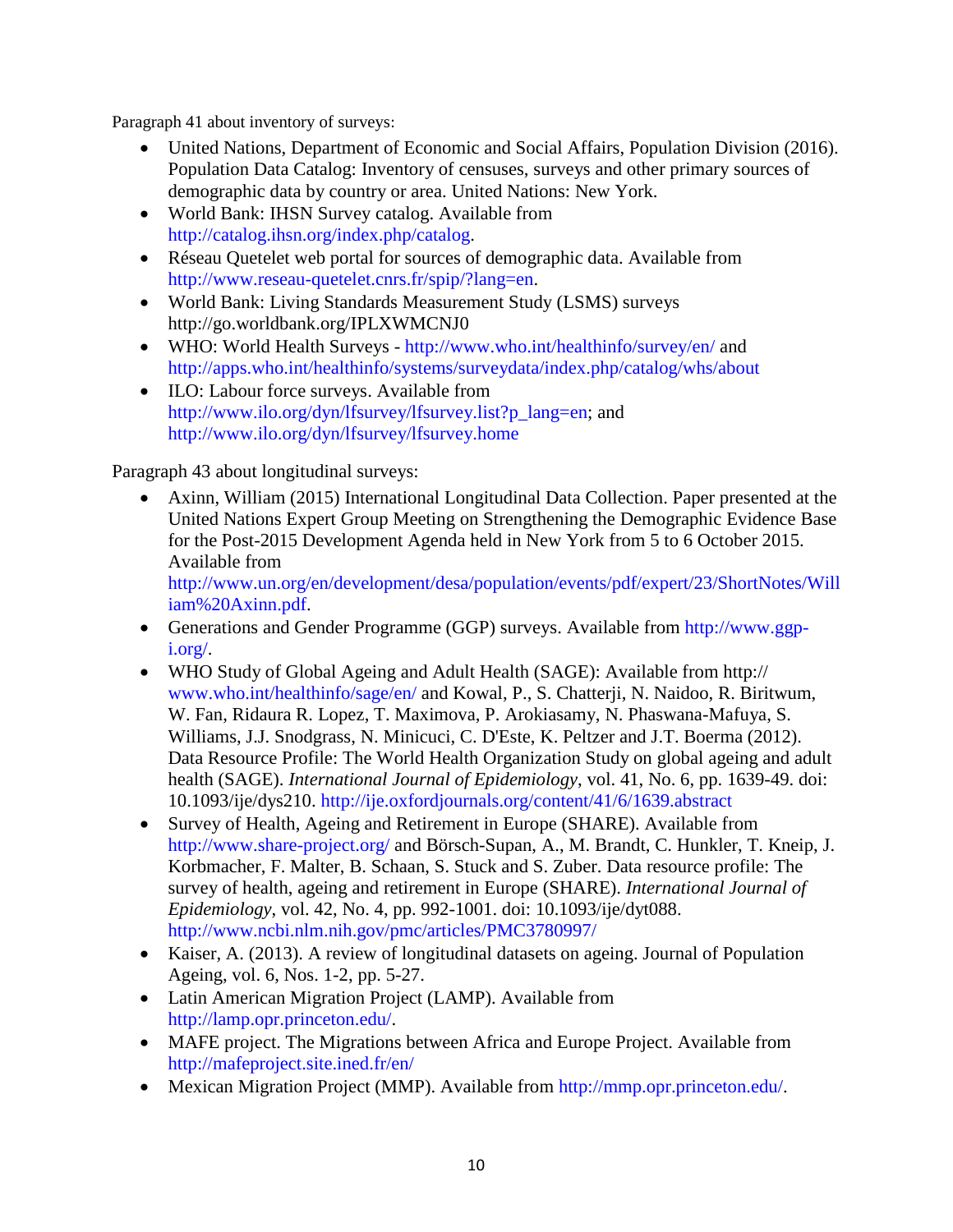Paragraph 41 about inventory of surveys:

- United Nations, Department of Economic and Social Affairs, Population Division (2016). Population Data Catalog: Inventory of censuses, surveys and other primary sources of demographic data by country or area. United Nations: New York.
- World Bank: IHSN Survey catalog. Available from [http://catalog.ihsn.org/index.php/catalog.](http://catalog.ihsn.org/index.php/catalog)
- Réseau Quetelet web portal for sources of demographic data. Available from [http://www.reseau-quetelet.cnrs.fr/spip/?lang=en.](http://www.reseau-quetelet.cnrs.fr/spip/?lang=en)
- World Bank: Living Standards Measurement Study (LSMS) surveys http://go.worldbank.org/IPLXWMCNJ0
- WHO: World Health Surveys <http://www.who.int/healthinfo/survey/en/> and <http://apps.who.int/healthinfo/systems/surveydata/index.php/catalog/whs/about>
- ILO: Labour force surveys. Available from [http://www.ilo.org/dyn/lfsurvey/lfsurvey.list?p\\_lang=en;](http://www.ilo.org/dyn/lfsurvey/lfsurvey.list?p_lang=en) and <http://www.ilo.org/dyn/lfsurvey/lfsurvey.home>

Paragraph 43 about longitudinal surveys:

• Axinn, William (2015) International Longitudinal Data Collection. Paper presented at the United Nations Expert Group Meeting on Strengthening the Demographic Evidence Base for the Post-2015 Development Agenda held in New York from 5 to 6 October 2015. Available from

[http://www.un.org/en/development/desa/population/events/pdf/expert/23/ShortNotes/Will](http://www.un.org/en/development/desa/population/events/pdf/expert/23/ShortNotes/William%20Axinn.pdf) [iam%20Axinn.pdf.](http://www.un.org/en/development/desa/population/events/pdf/expert/23/ShortNotes/William%20Axinn.pdf)

- Generations and Gender Programme (GGP) surveys. Available from [http://www.ggp](http://www.ggp-i.org/)[i.org/.](http://www.ggp-i.org/)
- WHO Study of Global Ageing and Adult Health (SAGE): Available from http:// [www.who.int/healthinfo/sage/en/](http://www.who.int/healthinfo/sage/en/) and Kowal, P., S. Chatterji, N. Naidoo, R. Biritwum, W. Fan, Ridaura R. Lopez, T. Maximova, P. Arokiasamy, N. Phaswana-Mafuya, S. Williams, J.J. Snodgrass, N. Minicuci, C. D'Este, K. Peltzer and J.T. Boerma (2012). Data Resource Profile: The World Health Organization Study on global ageing and adult health (SAGE). *International Journal of Epidemiology*, vol. 41, No. 6, pp. 1639-49. doi: 10.1093/ije/dys210. <http://ije.oxfordjournals.org/content/41/6/1639.abstract>
- Survey of Health, Ageing and Retirement in Europe (SHARE). Available from <http://www.share-project.org/> and Börsch-Supan, A., M. Brandt, C. Hunkler, T. Kneip, J. Korbmacher, F. Malter, B. Schaan, S. Stuck and S. Zuber. Data resource profile: The survey of health, ageing and retirement in Europe (SHARE). *International Journal of Epidemiology*, vol. 42, No. 4, pp. 992-1001. doi: 10.1093/ije/dyt088. <http://www.ncbi.nlm.nih.gov/pmc/articles/PMC3780997/>
- Kaiser, A. (2013). A review of longitudinal datasets on ageing. Journal of Population Ageing, vol. 6, Nos. 1-2, pp. 5-27.
- Latin American Migration Project (LAMP). Available from [http://lamp.opr.princeton.edu/.](http://lamp.opr.princeton.edu/)
- MAFE project. The Migrations between Africa and Europe Project. Available from <http://mafeproject.site.ined.fr/en/>
- Mexican Migration Project (MMP). Available from [http://mmp.opr.princeton.edu/.](http://mmp.opr.princeton.edu/)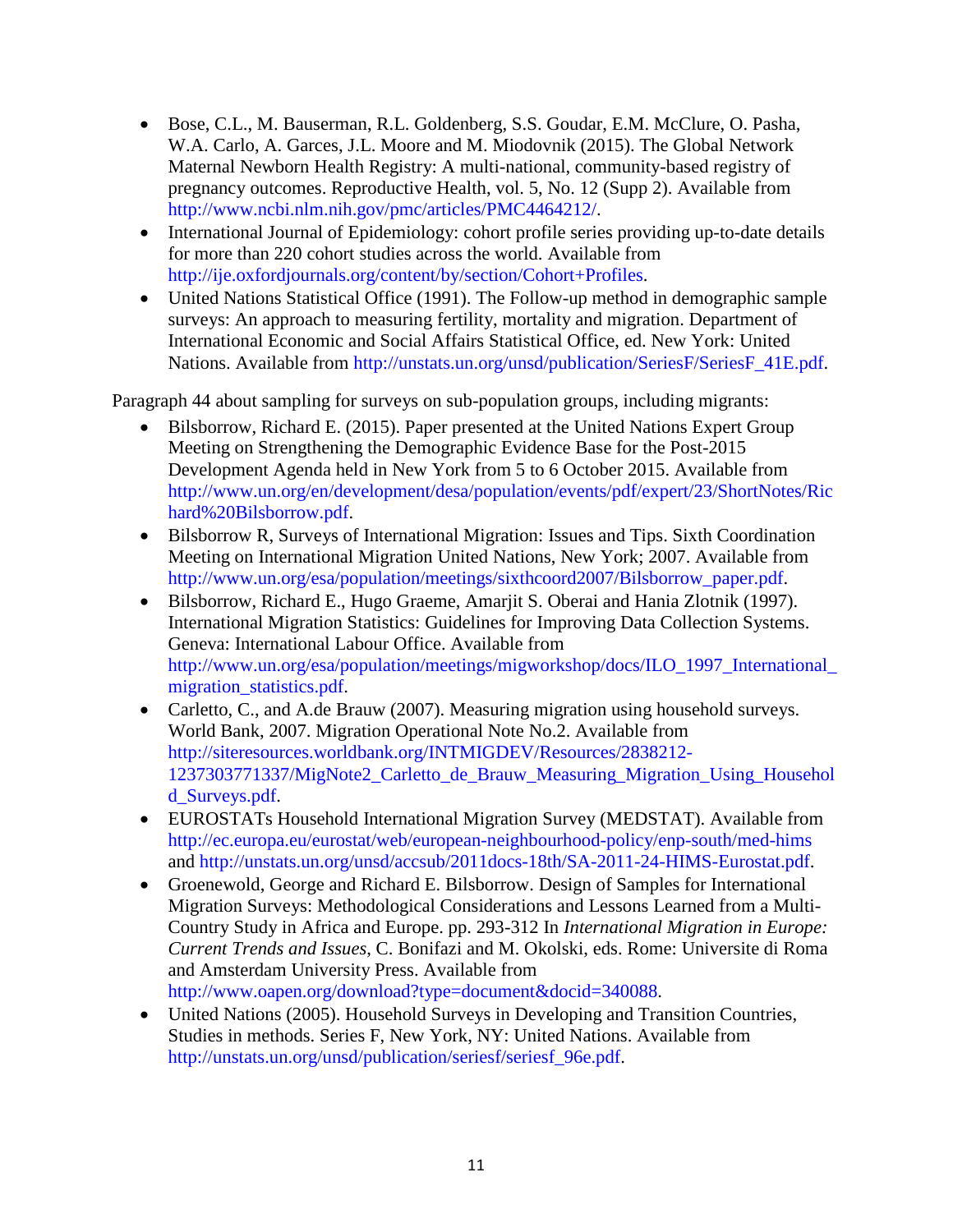- Bose, C.L., M. Bauserman, R.L. Goldenberg, S.S. Goudar, E.M. McClure, O. Pasha, W.A. Carlo, A. Garces, J.L. Moore and M. Miodovnik (2015). The Global Network Maternal Newborn Health Registry: A multi-national, community-based registry of pregnancy outcomes. Reproductive Health, vol. 5, No. 12 (Supp 2). Available from [http://www.ncbi.nlm.nih.gov/pmc/articles/PMC4464212/.](http://www.ncbi.nlm.nih.gov/pmc/articles/PMC4464212/)
- International Journal of Epidemiology: cohort profile series providing up-to-date details for more than 220 cohort studies across the world. Available from [http://ije.oxfordjournals.org/content/by/section/Cohort+Profiles.](http://ije.oxfordjournals.org/content/by/section/Cohort+Profiles)
- United Nations Statistical Office (1991). The Follow-up method in demographic sample surveys: An approach to measuring fertility, mortality and migration. Department of International Economic and Social Affairs Statistical Office, ed. New York: United Nations. Available from [http://unstats.un.org/unsd/publication/SeriesF/SeriesF\\_41E.pdf.](http://unstats.un.org/unsd/publication/SeriesF/SeriesF_41E.pdf)

Paragraph 44 about sampling for surveys on sub-population groups, including migrants:

- Bilsborrow, Richard E. (2015). Paper presented at the United Nations Expert Group Meeting on Strengthening the Demographic Evidence Base for the Post-2015 Development Agenda held in New York from 5 to 6 October 2015. Available from [http://www.un.org/en/development/desa/population/events/pdf/expert/23/ShortNotes/Ric](http://www.un.org/en/development/desa/population/events/pdf/expert/23/ShortNotes/Richard%20Bilsborrow.pdf) [hard%20Bilsborrow.pdf.](http://www.un.org/en/development/desa/population/events/pdf/expert/23/ShortNotes/Richard%20Bilsborrow.pdf)
- Bilsborrow R, Surveys of International Migration: Issues and Tips. Sixth Coordination Meeting on International Migration United Nations, New York; 2007. Available from [http://www.un.org/esa/population/meetings/sixthcoord2007/Bilsborrow\\_paper.pdf.](http://www.un.org/esa/population/meetings/sixthcoord2007/Bilsborrow_paper.pdf)
- Bilsborrow, Richard E., Hugo Graeme, Amarjit S. Oberai and Hania Zlotnik (1997). International Migration Statistics: Guidelines for Improving Data Collection Systems. Geneva: International Labour Office. Available from [http://www.un.org/esa/population/meetings/migworkshop/docs/ILO\\_1997\\_International\\_](http://www.un.org/esa/population/meetings/migworkshop/docs/ILO_1997_International_migration_statistics.pdf) migration statistics.pdf.
- Carletto, C., and A.de Brauw (2007). Measuring migration using household surveys. World Bank, 2007. Migration Operational Note No.2. Available from [http://siteresources.worldbank.org/INTMIGDEV/Resources/2838212-](http://siteresources.worldbank.org/INTMIGDEV/Resources/2838212-1237303771337/MigNote2_Carletto_de_Brauw_Measuring_Migration_Using_Household_Surveys.pdf) [1237303771337/MigNote2\\_Carletto\\_de\\_Brauw\\_Measuring\\_Migration\\_Using\\_Househol](http://siteresources.worldbank.org/INTMIGDEV/Resources/2838212-1237303771337/MigNote2_Carletto_de_Brauw_Measuring_Migration_Using_Household_Surveys.pdf) [d\\_Surveys.pdf.](http://siteresources.worldbank.org/INTMIGDEV/Resources/2838212-1237303771337/MigNote2_Carletto_de_Brauw_Measuring_Migration_Using_Household_Surveys.pdf)
- EUROSTATs Household International Migration Survey (MEDSTAT). Available from <http://ec.europa.eu/eurostat/web/european-neighbourhood-policy/enp-south/med-hims> and [http://unstats.un.org/unsd/accsub/2011docs-18th/SA-2011-24-HIMS-Eurostat.pdf.](http://unstats.un.org/unsd/accsub/2011docs-18th/SA-2011-24-HIMS-Eurostat.pdf)
- Groenewold, George and Richard E. Bilsborrow. Design of Samples for International Migration Surveys: Methodological Considerations and Lessons Learned from a Multi-Country Study in Africa and Europe. pp. 293-312 In *International Migration in Europe: Current Trends and Issues*, C. Bonifazi and M. Okolski, eds. Rome: Universite di Roma and Amsterdam University Press. Available from [http://www.oapen.org/download?type=document&docid=340088.](http://www.oapen.org/download?type=document&docid=340088)
- United Nations (2005). Household Surveys in Developing and Transition Countries, Studies in methods. Series F, New York, NY: United Nations. Available from [http://unstats.un.org/unsd/publication/seriesf/seriesf\\_96e.pdf.](http://unstats.un.org/unsd/publication/seriesf/seriesf_96e.pdf)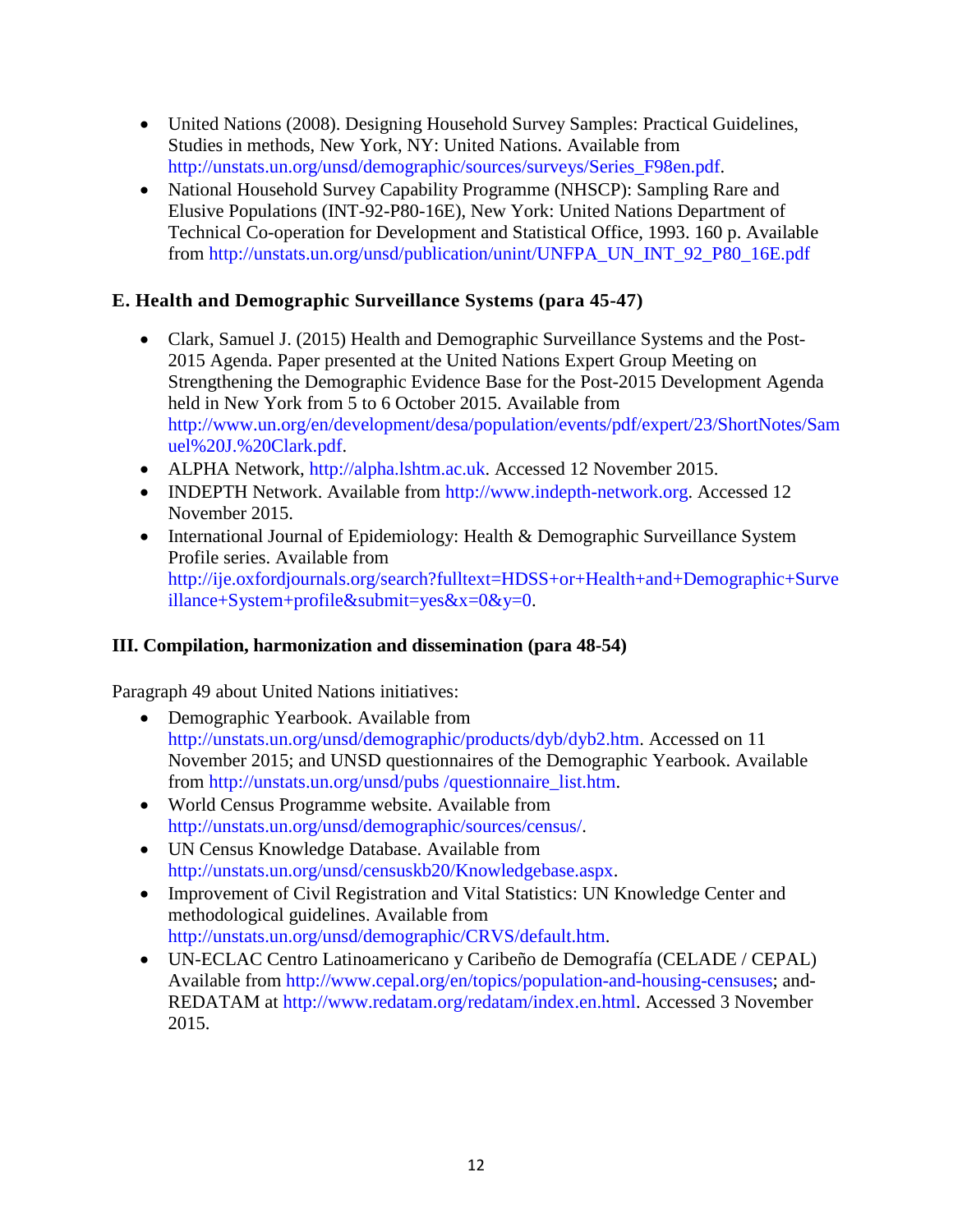- United Nations (2008). Designing Household Survey Samples: Practical Guidelines, Studies in methods, New York, NY: United Nations. Available from [http://unstats.un.org/unsd/demographic/sources/surveys/Series\\_F98en.pdf.](http://unstats.un.org/unsd/demographic/sources/surveys/Series_F98en.pdf)
- National Household Survey Capability Programme (NHSCP): Sampling Rare and Elusive Populations (INT-92-P80-16E), New York: United Nations Department of Technical Co-operation for Development and Statistical Office, 1993. 160 p. Available from [http://unstats.un.org/unsd/publication/unint/UNFPA\\_UN\\_INT\\_92\\_P80\\_16E.pdf](http://unstats.un.org/unsd/publication/unint/UNFPA_UN_INT_92_P80_16E.pdf)

## **E. Health and Demographic Surveillance Systems (para 45-47)**

- Clark, Samuel J. (2015) Health and Demographic Surveillance Systems and the Post-2015 Agenda. Paper presented at the United Nations Expert Group Meeting on Strengthening the Demographic Evidence Base for the Post-2015 Development Agenda held in New York from 5 to 6 October 2015. Available from [http://www.un.org/en/development/desa/population/events/pdf/expert/23/ShortNotes/Sam](http://www.un.org/en/development/desa/population/events/pdf/expert/23/ShortNotes/Samuel%20J.%20Clark.pdf) [uel%20J.%20Clark.pdf.](http://www.un.org/en/development/desa/population/events/pdf/expert/23/ShortNotes/Samuel%20J.%20Clark.pdf)
- ALPHA Network, [http://alpha.lshtm.ac.uk.](http://alpha.lshtm.ac.uk/) Accessed 12 November 2015.
- INDEPTH Network. Available from [http://www.indepth-network.org.](http://www.indepth-network.org/) Accessed 12 November 2015.
- International Journal of Epidemiology: Health & Demographic Surveillance System Profile series. Available from [http://ije.oxfordjournals.org/search?fulltext=HDSS+or+Health+and+Demographic+Surve](http://ije.oxfordjournals.org/search?fulltext=HDSS+or+Health+and+Demographic+Surveillance+System+profile&submit=yes&x=0&y=0) [illance+System+profile&submit=yes&x=0&y=0.](http://ije.oxfordjournals.org/search?fulltext=HDSS+or+Health+and+Demographic+Surveillance+System+profile&submit=yes&x=0&y=0)

## **III. Compilation, harmonization and dissemination (para 48-54)**

Paragraph 49 about United Nations initiatives:

- Demographic Yearbook. Available from [http://unstats.un.org/unsd/demographic/products/dyb/dyb2.htm.](http://unstats.un.org/unsd/demographic/products/dyb/dyb2.htm) Accessed on 11 November 2015; and UNSD questionnaires of the Demographic Yearbook. Available from [http://unstats.un.org/unsd/pubs /questionnaire\\_list.htm.](http://unstats.un.org/unsd/pubs%20/questionnaire_list.htm)
- World Census Programme website. Available from [http://unstats.un.org/unsd/demographic/sources/census/.](http://unstats.un.org/unsd/demographic/sources/census/)
- UN Census Knowledge Database. Available from [http://unstats.un.org/unsd/censuskb20/Knowledgebase.aspx.](http://unstats.un.org/unsd/censuskb20/Knowledgebase.aspx)
- Improvement of Civil Registration and Vital Statistics: UN Knowledge Center and methodological guidelines. Available from [http://unstats.un.org/unsd/demographic/CRVS/default.htm.](http://unstats.un.org/unsd/demographic/CRVS/default.htm)
- UN-ECLAC Centro Latinoamericano y Caribeño de Demografía (CELADE / CEPAL) Available from [http://www.cepal.org/en/topics/population-and-housing-censuses;](http://www.cepal.org/en/topics/population-and-housing-censuses) and-REDATAM at [http://www.redatam.org/redatam/index.en.html.](http://www.redatam.org/redatam/index.en.html) Accessed 3 November 2015.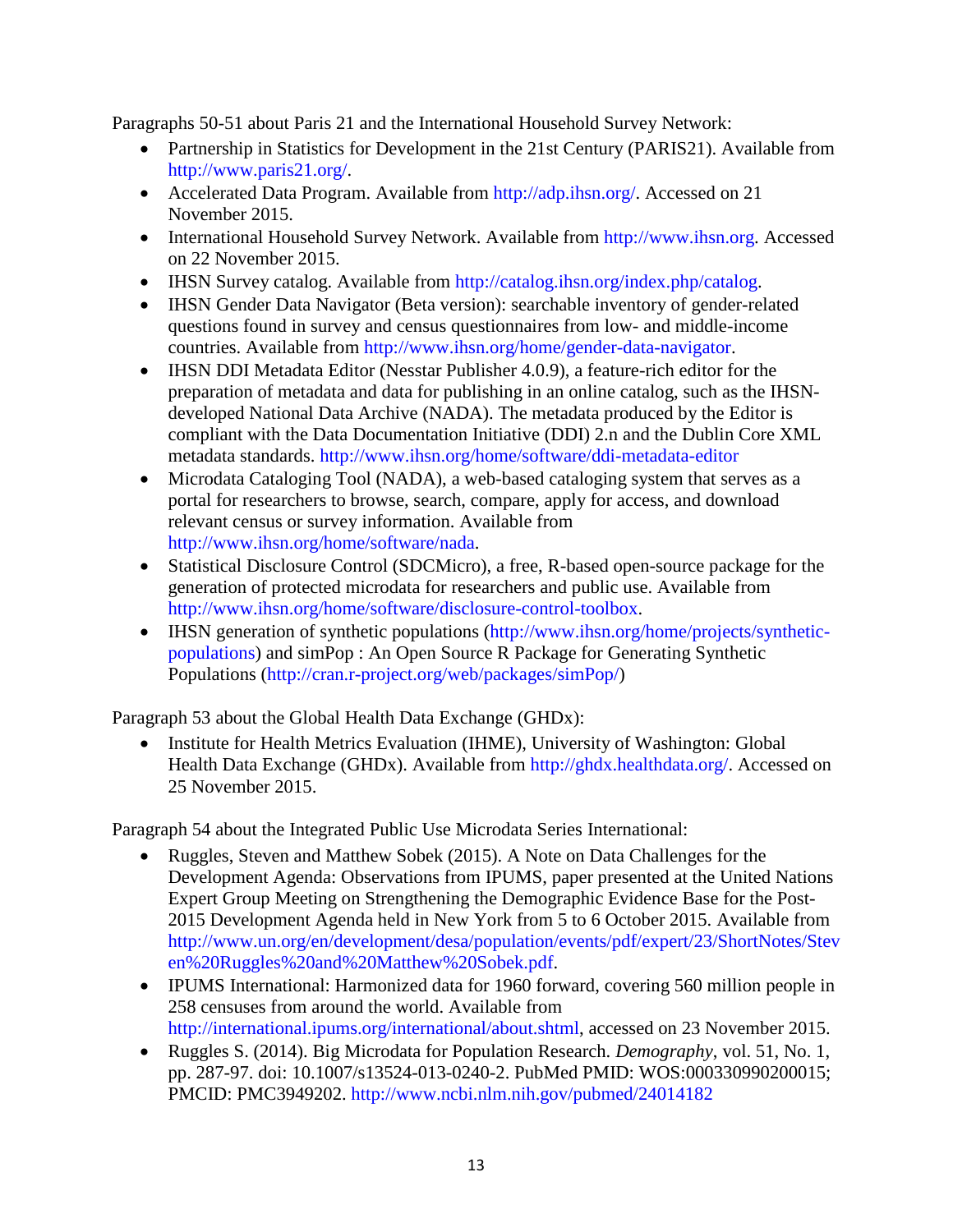Paragraphs 50-51 about Paris 21 and the International Household Survey Network:

- Partnership in Statistics for Development in the 21st Century (PARIS21). Available from [http://www.paris21.org/.](http://www.paris21.org/)
- Accelerated Data Program. Available from [http://adp.ihsn.org/.](http://adp.ihsn.org/) Accessed on 21 November 2015.
- International Household Survey Network. Available from [http://www.ihsn.org.](http://www.ihsn.org/) Accessed on 22 November 2015.
- IHSN Survey catalog. Available from [http://catalog.ihsn.org/index.php/catalog.](http://catalog.ihsn.org/index.php/catalog)
- IHSN Gender Data Navigator (Beta version): searchable inventory of gender-related questions found in survey and census questionnaires from low- and middle-income countries. Available from [http://www.ihsn.org/home/gender-data-navigator.](http://www.ihsn.org/home/gender-data-navigator)
- IHSN DDI Metadata Editor (Nesstar Publisher 4.0.9), a feature-rich editor for the preparation of metadata and data for publishing in an online catalog, such as the IHSNdeveloped National Data Archive (NADA). The metadata produced by the Editor is compliant with the Data Documentation Initiative (DDI) 2.n and the Dublin Core XML metadata standards. <http://www.ihsn.org/home/software/ddi-metadata-editor>
- Microdata Cataloging Tool (NADA), a web-based cataloging system that serves as a portal for researchers to browse, search, compare, apply for access, and download relevant census or survey information. Available from [http://www.ihsn.org/home/software/nada.](http://www.ihsn.org/home/software/nada)
- Statistical Disclosure Control (SDCMicro), a free, R-based open-source package for the generation of protected microdata for researchers and public use. Available from [http://www.ihsn.org/home/software/disclosure-control-toolbox.](http://www.ihsn.org/home/software/disclosure-control-toolbox)
- IHSN generation of synthetic populations [\(http://www.ihsn.org/home/projects/synthetic](http://www.ihsn.org/home/projects/synthetic-populations)[populations\)](http://www.ihsn.org/home/projects/synthetic-populations) and simPop : An Open Source R Package for Generating Synthetic Populations [\(http://cran.r-project.org/web/packages/simPop/\)](http://cran.r-project.org/web/packages/simPop/)

Paragraph 53 about the Global Health Data Exchange (GHDx):

• Institute for Health Metrics Evaluation (IHME), University of Washington: Global Health Data Exchange (GHDx). Available from [http://ghdx.healthdata.org/.](http://ghdx.healthdata.org/) Accessed on 25 November 2015.

Paragraph 54 about the Integrated Public Use Microdata Series International:

- Ruggles, Steven and Matthew Sobek (2015). A Note on Data Challenges for the Development Agenda: Observations from IPUMS, paper presented at the United Nations Expert Group Meeting on Strengthening the Demographic Evidence Base for the Post-2015 Development Agenda held in New York from 5 to 6 October 2015. Available from [http://www.un.org/en/development/desa/population/events/pdf/expert/23/ShortNotes/Stev](http://www.un.org/en/development/desa/population/events/pdf/expert/23/ShortNotes/Steven%20Ruggles%20and%20Matthew%20Sobek.pdf) [en%20Ruggles%20and%20Matthew%20Sobek.pdf.](http://www.un.org/en/development/desa/population/events/pdf/expert/23/ShortNotes/Steven%20Ruggles%20and%20Matthew%20Sobek.pdf)
- IPUMS International: Harmonized data for 1960 forward, covering 560 million people in 258 censuses from around the world. Available from [http://international.ipums.org/international/about.shtml,](http://international.ipums.org/international/about.shtml) accessed on 23 November 2015.
- Ruggles S. (2014). Big Microdata for Population Research. *Demography*, vol. 51, No. 1, pp. 287-97. doi: 10.1007/s13524-013-0240-2. PubMed PMID: WOS:000330990200015; PMCID: PMC3949202. <http://www.ncbi.nlm.nih.gov/pubmed/24014182>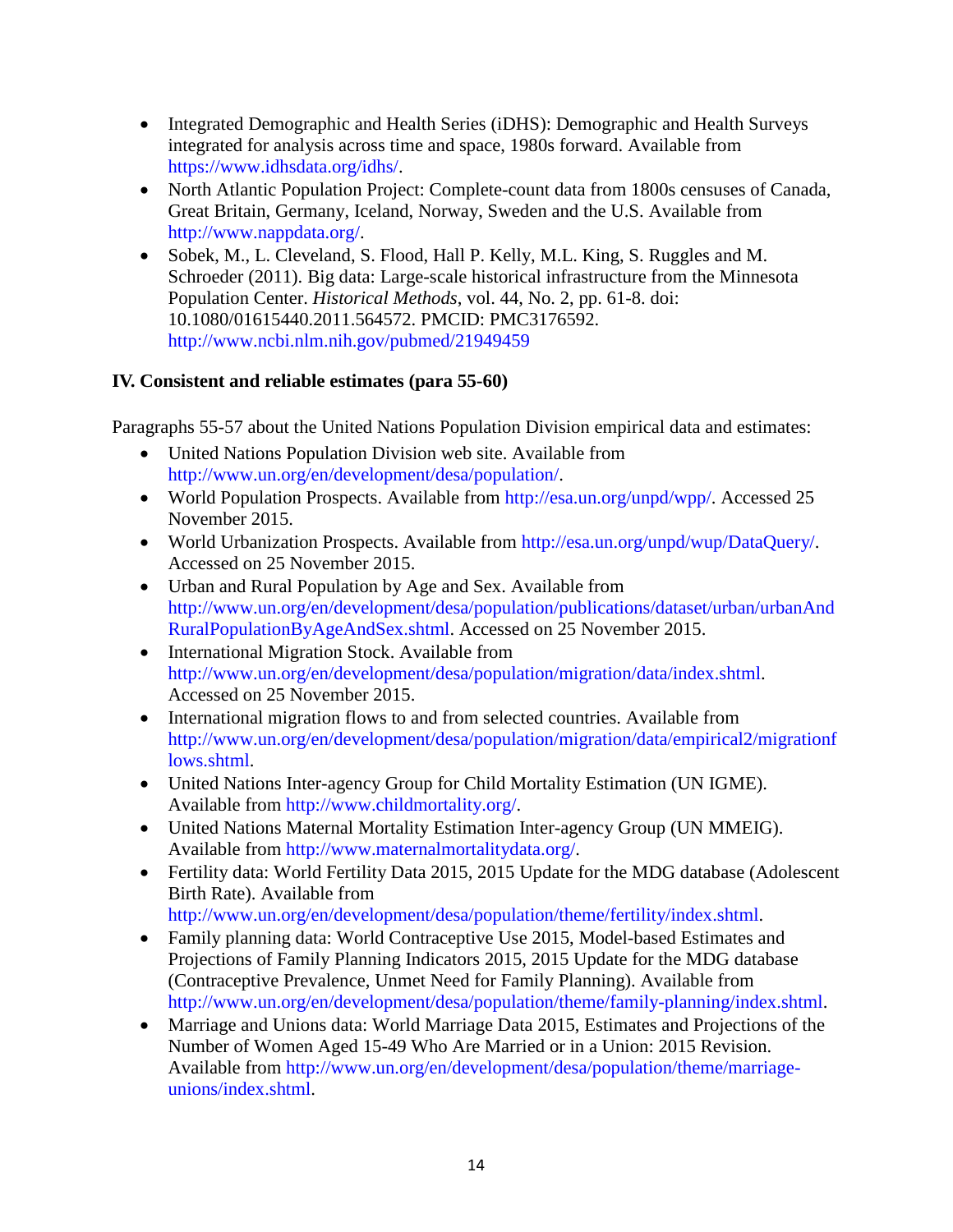- Integrated Demographic and Health Series (iDHS): Demographic and Health Surveys integrated for analysis across time and space, 1980s forward. Available from [https://www.idhsdata.org/idhs/.](https://www.idhsdata.org/idhs/)
- North Atlantic Population Project: Complete-count data from 1800s censuses of Canada, Great Britain, Germany, Iceland, Norway, Sweden and the U.S. Available from [http://www.nappdata.org/.](http://www.nappdata.org/)
- Sobek, M., L. Cleveland, S. Flood, Hall P. Kelly, M.L. King, S. Ruggles and M. Schroeder (2011). Big data: Large-scale historical infrastructure from the Minnesota Population Center. *Historical Methods*, vol. 44, No. 2, pp. 61-8. doi: 10.1080/01615440.2011.564572. PMCID: PMC3176592. <http://www.ncbi.nlm.nih.gov/pubmed/21949459>

## **IV. Consistent and reliable estimates (para 55-60)**

Paragraphs 55-57 about the United Nations Population Division empirical data and estimates:

- United Nations Population Division web site. Available from [http://www.un.org/en/development/desa/population/.](http://www.un.org/en/development/desa/population/)
- World Population Prospects. Available from [http://esa.un.org/unpd/wpp/.](http://esa.un.org/unpd/wpp/) Accessed 25 November 2015.
- World Urbanization Prospects. Available from [http://esa.un.org/unpd/wup/DataQuery/.](http://esa.un.org/unpd/wup/DataQuery/) Accessed on 25 November 2015.
- Urban and Rural Population by Age and Sex. Available from [http://www.un.org/en/development/desa/population/publications/dataset/urban/urbanAnd](http://www.un.org/en/development/desa/population/publications/dataset/urban/urbanAndRuralPopulationByAgeAndSex.shtml) [RuralPopulationByAgeAndSex.shtml.](http://www.un.org/en/development/desa/population/publications/dataset/urban/urbanAndRuralPopulationByAgeAndSex.shtml) Accessed on 25 November 2015.
- International Migration Stock. Available from [http://www.un.org/en/development/desa/population/migration/data/index.shtml.](http://www.un.org/en/development/desa/population/migration/data/index.shtml) Accessed on 25 November 2015.
- International migration flows to and from selected countries. Available from [http://www.un.org/en/development/desa/population/migration/data/empirical2/migrationf](http://www.un.org/en/development/desa/population/migration/data/empirical2/migrationflows.shtml) [lows.shtml.](http://www.un.org/en/development/desa/population/migration/data/empirical2/migrationflows.shtml)
- United Nations Inter-agency Group for Child Mortality Estimation (UN IGME). Available from [http://www.childmortality.org/.](http://www.childmortality.org/)
- United Nations Maternal Mortality Estimation Inter-agency Group (UN MMEIG). Available from [http://www.maternalmortalitydata.org/.](http://www.maternalmortalitydata.org/)
- Fertility data: World Fertility Data 2015, 2015 Update for the MDG database (Adolescent Birth Rate). Available from [http://www.un.org/en/development/desa/population/theme/fertility/index.shtml.](http://www.un.org/en/development/desa/population/theme/fertility/index.shtml)
- Family planning data: World Contraceptive Use 2015, Model-based Estimates and Projections of Family Planning Indicators 2015, 2015 Update for the MDG database (Contraceptive Prevalence, Unmet Need for Family Planning). Available from [http://www.un.org/en/development/desa/population/theme/family-planning/index.shtml.](http://www.un.org/en/development/desa/population/theme/family-planning/index.shtml)
- Marriage and Unions data: World Marriage Data 2015, Estimates and Projections of the Number of Women Aged 15-49 Who Are Married or in a Union: 2015 Revision. Available from [http://www.un.org/en/development/desa/population/theme/marriage](http://www.un.org/en/development/desa/population/theme/marriage-unions/index.shtml)[unions/index.shtml.](http://www.un.org/en/development/desa/population/theme/marriage-unions/index.shtml)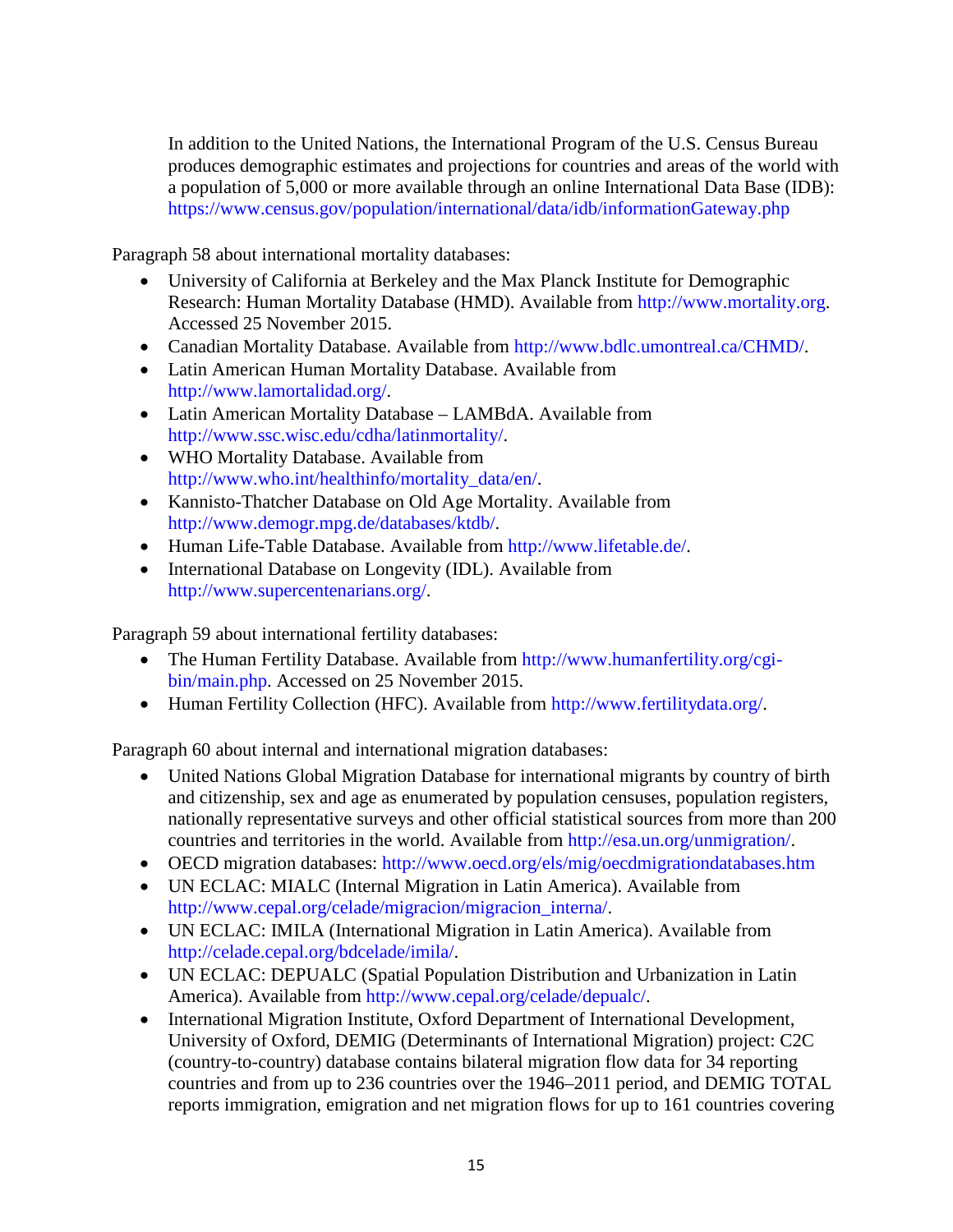In addition to the United Nations, the International Program of the U.S. Census Bureau produces demographic estimates and projections for countries and areas of the world with a population of 5,000 or more available through an online International Data Base (IDB): <https://www.census.gov/population/international/data/idb/informationGateway.php>

Paragraph 58 about international mortality databases:

- University of California at Berkeley and the Max Planck Institute for Demographic Research: Human Mortality Database (HMD). Available from [http://www.mortality.org.](http://www.mortality.org/) Accessed 25 November 2015.
- Canadian Mortality Database. Available from [http://www.bdlc.umontreal.ca/CHMD/.](http://www.bdlc.umontreal.ca/CHMD/)
- Latin American Human Mortality Database. Available from [http://www.lamortalidad.org/.](http://www.lamortalidad.org/)
- Latin American Mortality Database LAMBdA. Available from [http://www.ssc.wisc.edu/cdha/latinmortality/.](http://www.ssc.wisc.edu/cdha/latinmortality/)
- WHO Mortality Database. Available from [http://www.who.int/healthinfo/mortality\\_data/en/.](http://www.who.int/healthinfo/mortality_data/en/)
- Kannisto-Thatcher Database on Old Age Mortality. Available from [http://www.demogr.mpg.de/databases/ktdb/.](http://www.demogr.mpg.de/databases/ktdb/)
- Human Life-Table Database. Available from [http://www.lifetable.de/.](http://www.lifetable.de/)
- International Database on Longevity (IDL). Available from [http://www.supercentenarians.org/.](http://www.supercentenarians.org/)

Paragraph 59 about international fertility databases:

- The Human Fertility Database. Available from [http://www.humanfertility.org/cgi](http://www.humanfertility.org/cgi-bin/main.php)[bin/main.php.](http://www.humanfertility.org/cgi-bin/main.php) Accessed on 25 November 2015.
- Human Fertility Collection (HFC). Available from [http://www.fertilitydata.org/.](http://www.fertilitydata.org/)

Paragraph 60 about internal and international migration databases:

- United Nations Global Migration Database for international migrants by country of birth and citizenship, sex and age as enumerated by population censuses, population registers, nationally representative surveys and other official statistical sources from more than 200 countries and territories in the world. Available from [http://esa.un.org/unmigration/.](http://esa.un.org/unmigration/)
- OECD migration databases:<http://www.oecd.org/els/mig/oecdmigrationdatabases.htm>
- UN ECLAC: MIALC (Internal Migration in Latin America). Available from [http://www.cepal.org/celade/migracion/migracion\\_interna/.](http://www.cepal.org/celade/migracion/migracion_interna/)
- UN ECLAC: IMILA (International Migration in Latin America). Available from [http://celade.cepal.org/bdcelade/imila/.](http://celade.cepal.org/bdcelade/imila/)
- UN ECLAC: DEPUALC (Spatial Population Distribution and Urbanization in Latin America). Available from [http://www.cepal.org/celade/depualc/.](http://www.cepal.org/celade/depualc/)
- International Migration Institute, Oxford Department of International Development, University of Oxford, DEMIG (Determinants of International Migration) project: C2C (country-to-country) database contains bilateral migration flow data for 34 reporting countries and from up to 236 countries over the 1946–2011 period, and DEMIG TOTAL reports immigration, emigration and net migration flows for up to 161 countries covering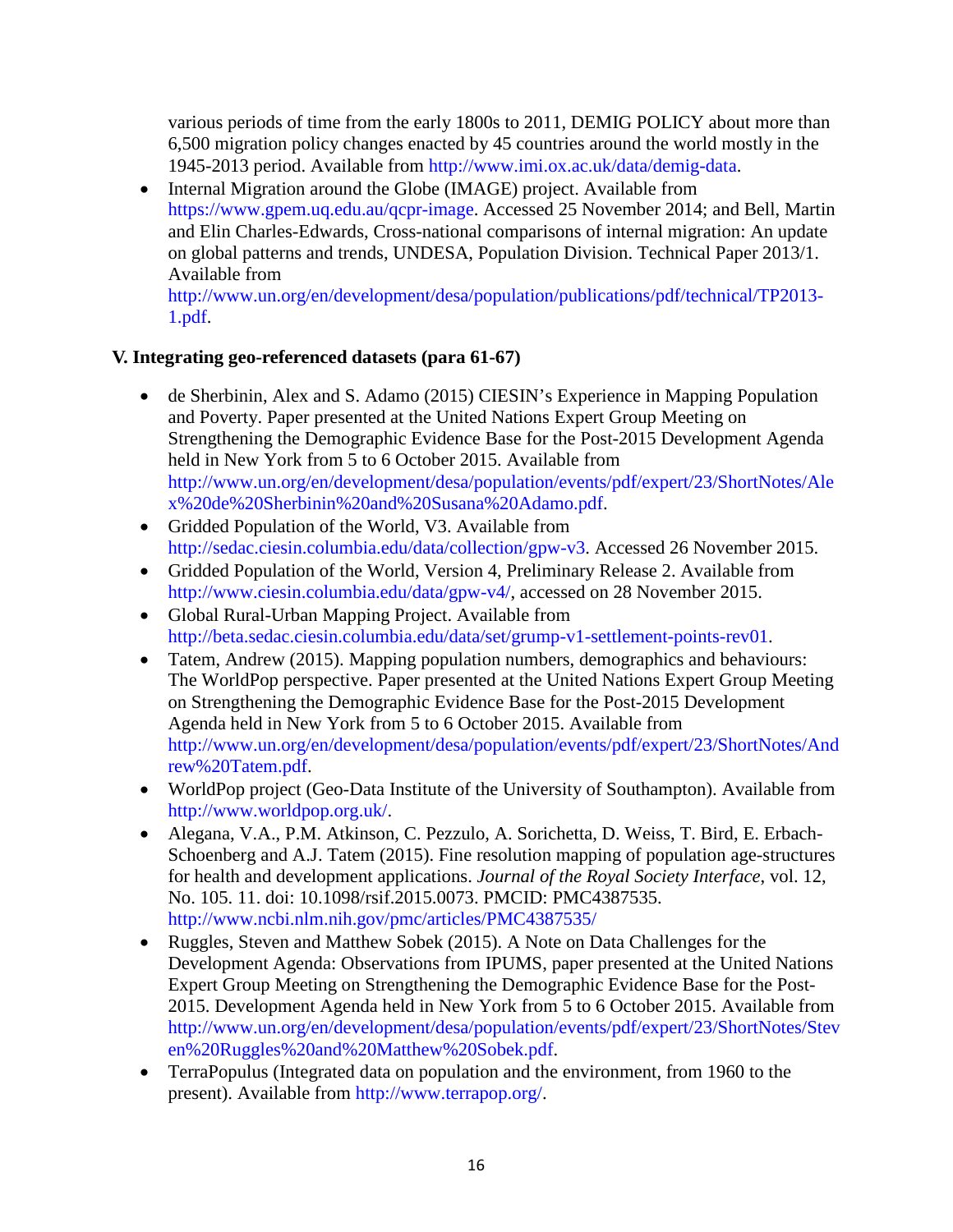various periods of time from the early 1800s to 2011, DEMIG POLICY about more than 6,500 migration policy changes enacted by 45 countries around the world mostly in the 1945-2013 period. Available from [http://www.imi.ox.ac.uk/data/demig-data.](http://www.imi.ox.ac.uk/data/demig-data)

• Internal Migration around the Globe (IMAGE) project. Available from [https://www.gpem.uq.edu.au/qcpr-image.](https://www.gpem.uq.edu.au/qcpr-image) Accessed 25 November 2014; and Bell, Martin and Elin Charles-Edwards, Cross-national comparisons of internal migration: An update on global patterns and trends, UNDESA, Population Division. Technical Paper 2013/1. Available from

[http://www.un.org/en/development/desa/population/publications/pdf/technical/TP2013-](http://www.un.org/en/development/desa/population/publications/pdf/technical/TP2013-1.pdf) [1.pdf.](http://www.un.org/en/development/desa/population/publications/pdf/technical/TP2013-1.pdf)

## **V. Integrating geo-referenced datasets (para 61-67)**

- de Sherbinin, Alex and S. Adamo (2015) CIESIN's Experience in Mapping Population and Poverty. Paper presented at the United Nations Expert Group Meeting on Strengthening the Demographic Evidence Base for the Post-2015 Development Agenda held in New York from 5 to 6 October 2015. Available from [http://www.un.org/en/development/desa/population/events/pdf/expert/23/ShortNotes/Ale](http://www.un.org/en/development/desa/population/events/pdf/expert/23/ShortNotes/Alex%20de%20Sherbinin%20and%20Susana%20Adamo.pdf) [x%20de%20Sherbinin%20and%20Susana%20Adamo.pdf.](http://www.un.org/en/development/desa/population/events/pdf/expert/23/ShortNotes/Alex%20de%20Sherbinin%20and%20Susana%20Adamo.pdf)
- Gridded Population of the World, V3. Available from [http://sedac.ciesin.columbia.edu/data/collection/gpw-v3.](http://sedac.ciesin.columbia.edu/data/collection/gpw-v3) Accessed 26 November 2015.
- Gridded Population of the World, Version 4, Preliminary Release 2. Available from [http://www.ciesin.columbia.edu/data/gpw-v4/,](http://www.ciesin.columbia.edu/data/gpw-v4/) accessed on 28 November 2015.
- Global Rural-Urban Mapping Project. Available from [http://beta.sedac.ciesin.columbia.edu/data/set/grump-v1-settlement-points-rev01.](http://beta.sedac.ciesin.columbia.edu/data/set/grump-v1-settlement-points-rev01)
- Tatem, Andrew (2015). Mapping population numbers, demographics and behaviours: The WorldPop perspective. Paper presented at the United Nations Expert Group Meeting on Strengthening the Demographic Evidence Base for the Post-2015 Development Agenda held in New York from 5 to 6 October 2015. Available from [http://www.un.org/en/development/desa/population/events/pdf/expert/23/ShortNotes/And](http://www.un.org/en/development/desa/population/events/pdf/expert/23/ShortNotes/Andrew%20Tatem.pdf) [rew%20Tatem.pdf.](http://www.un.org/en/development/desa/population/events/pdf/expert/23/ShortNotes/Andrew%20Tatem.pdf)
- WorldPop project (Geo-Data Institute of the University of Southampton). Available from [http://www.worldpop.org.uk/.](http://www.worldpop.org.uk/)
- Alegana, V.A., P.M. Atkinson, C. Pezzulo, A. Sorichetta, D. Weiss, T. Bird, E. Erbach-Schoenberg and A.J. Tatem (2015). Fine resolution mapping of population age-structures for health and development applications. *Journal of the Royal Society Interface*, vol. 12, No. 105. 11. doi: 10.1098/rsif.2015.0073. PMCID: PMC4387535. <http://www.ncbi.nlm.nih.gov/pmc/articles/PMC4387535/>
- Ruggles, Steven and Matthew Sobek (2015). A Note on Data Challenges for the Development Agenda: Observations from IPUMS, paper presented at the United Nations Expert Group Meeting on Strengthening the Demographic Evidence Base for the Post-2015. Development Agenda held in New York from 5 to 6 October 2015. Available from [http://www.un.org/en/development/desa/population/events/pdf/expert/23/ShortNotes/Stev](http://www.un.org/en/development/desa/population/events/pdf/expert/23/ShortNotes/Steven%20Ruggles%20and%20Matthew%20Sobek.pdf) [en%20Ruggles%20and%20Matthew%20Sobek.pdf.](http://www.un.org/en/development/desa/population/events/pdf/expert/23/ShortNotes/Steven%20Ruggles%20and%20Matthew%20Sobek.pdf)
- TerraPopulus (Integrated data on population and the environment, from 1960 to the present). Available from [http://www.terrapop.org/.](http://www.terrapop.org/)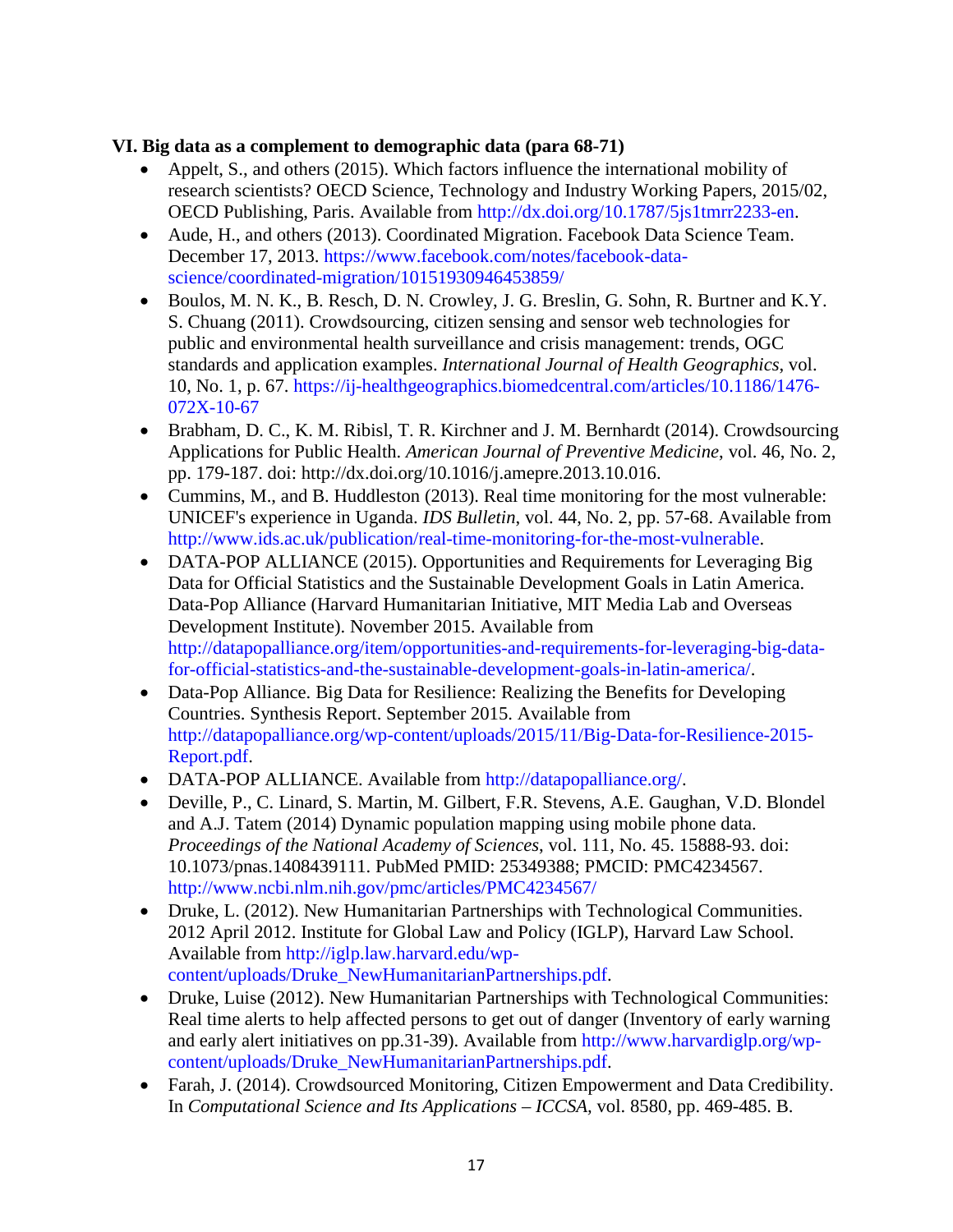#### **VI. Big data as a complement to demographic data (para 68-71)**

- Appelt, S., and others (2015). Which factors influence the international mobility of [research scientists?](http://www.oecd-ilibrary.org/which-factors-influence-the-international-mobility-of-research-scientists_5js1tmrr2233.pdf?contentType=/ns/WorkingPaper&itemId=/content/workingpaper/5js1tmrr2233-en&mimeType=application/pdf&containerItemId=/content/workingpaperseries/18151965&accessItemIds=) OECD Science, Technology and Industry Working Papers, 2015/02, OECD Publishing, Paris. Available from [http://dx.doi.org/10.1787/5js1tmrr2233-en.](http://dx.doi.org/10.1787/5js1tmrr2233-en)
- Aude, H., and others (2013). [Coordinated Migration.](https://www.facebook.com/notes/facebook-data-science/coordinated-migration/10151930946453859) Facebook Data Science Team. December 17, 2013. [https://www.facebook.com/notes/facebook-data](https://www.facebook.com/notes/facebook-data-science/coordinated-migration/10151930946453859/)[science/coordinated-migration/10151930946453859/](https://www.facebook.com/notes/facebook-data-science/coordinated-migration/10151930946453859/)
- Boulos, M. N. K., B. Resch, D. N. Crowley, J. G. Breslin, G. Sohn, R. Burtner and K.Y. S. Chuang (2011). Crowdsourcing, citizen sensing and sensor web technologies for public and environmental health surveillance and crisis management: trends, OGC standards and application examples. *International Journal of Health Geographics*, vol. 10, No. 1, p. 67. [https://ij-healthgeographics.biomedcentral.com/articles/10.1186/1476-](https://ij-healthgeographics.biomedcentral.com/articles/10.1186/1476-072X-10-67) [072X-10-67](https://ij-healthgeographics.biomedcentral.com/articles/10.1186/1476-072X-10-67)
- Brabham, D. C., K. M. Ribisl, T. R. Kirchner and J. M. Bernhardt (2014). Crowdsourcing Applications for Public Health. *American Journal of Preventive Medicine*, vol. 46, No. 2, pp. 179-187. doi: [http://dx.doi.org/10.1016/j.amepre.2013.10.016.](http://dx.doi.org/10.1016/j.amepre.2013.10.016)
- Cummins, M., and B. Huddleston (2013). Real time monitoring for the most vulnerable: UNICEF's experience in Uganda. *IDS Bulletin*, vol. 44, No. 2, pp. 57-68. Available from [http://www.ids.ac.uk/publication/real-time-monitoring-for-the-most-vulnerable.](http://www.ids.ac.uk/publication/real-time-monitoring-for-the-most-vulnerable)
- DATA-POP ALLIANCE (2015). Opportunities and Requirements for Leveraging Big Data for Official Statistics and the Sustainable Development Goals in Latin America. Data-Pop Alliance (Harvard Humanitarian Initiative, MIT Media Lab and Overseas Development Institute). November 2015. Available from [http://datapopalliance.org/item/opportunities-and-requirements-for-leveraging-big-data](http://datapopalliance.org/item/opportunities-and-requirements-for-leveraging-big-data-for-official-statistics-and-the-sustainable-development-goals-in-latin-america/)[for-official-statistics-and-the-sustainable-development-goals-in-latin-america/.](http://datapopalliance.org/item/opportunities-and-requirements-for-leveraging-big-data-for-official-statistics-and-the-sustainable-development-goals-in-latin-america/)
- Data-Pop Alliance. Big Data for Resilience: Realizing the Benefits for Developing Countries. Synthesis Report. September 2015. Available from [http://datapopalliance.org/wp-content/uploads/2015/11/Big-Data-for-Resilience-2015-](http://datapopalliance.org/wp-content/uploads/2015/11/Big-Data-for-Resilience-2015-Report.pdf) [Report.pdf.](http://datapopalliance.org/wp-content/uploads/2015/11/Big-Data-for-Resilience-2015-Report.pdf)
- DATA-POP ALLIANCE. Available from [http://datapopalliance.org/.](http://datapopalliance.org/)
- Deville, P., C. Linard, S. Martin, M. Gilbert, F.R. Stevens, A.E. Gaughan, V.D. Blondel and A.J. Tatem (2014) Dynamic population mapping using mobile phone data. *Proceedings of the National Academy of Sciences*, vol. 111, No. 45. 15888-93. doi: 10.1073/pnas.1408439111. PubMed PMID: 25349388; PMCID: PMC4234567. <http://www.ncbi.nlm.nih.gov/pmc/articles/PMC4234567/>
- Druke, L. (2012). New Humanitarian Partnerships with Technological Communities. 2012 April 2012. Institute for Global Law and Policy (IGLP), Harvard Law School. Available from [http://iglp.law.harvard.edu/wp](http://iglp.law.harvard.edu/wp-content/uploads/Druke_NewHumanitarianPartnerships.pdf)[content/uploads/Druke\\_NewHumanitarianPartnerships.pdf.](http://iglp.law.harvard.edu/wp-content/uploads/Druke_NewHumanitarianPartnerships.pdf)
- Druke, Luise (2012). New Humanitarian Partnerships with Technological Communities: Real time alerts to help affected persons to get out of danger (Inventory of early warning and early alert initiatives on pp.31-39). Available from [http://www.harvardiglp.org/wp](http://www.harvardiglp.org/wp-content/uploads/Druke_NewHumanitarianPartnerships.pdf)[content/uploads/Druke\\_NewHumanitarianPartnerships.pdf.](http://www.harvardiglp.org/wp-content/uploads/Druke_NewHumanitarianPartnerships.pdf)
- Farah, J. (2014). Crowdsourced Monitoring, Citizen Empowerment and Data Credibility. In *Computational Science and Its Applications – ICCSA,* vol. 8580, pp. 469-485. B.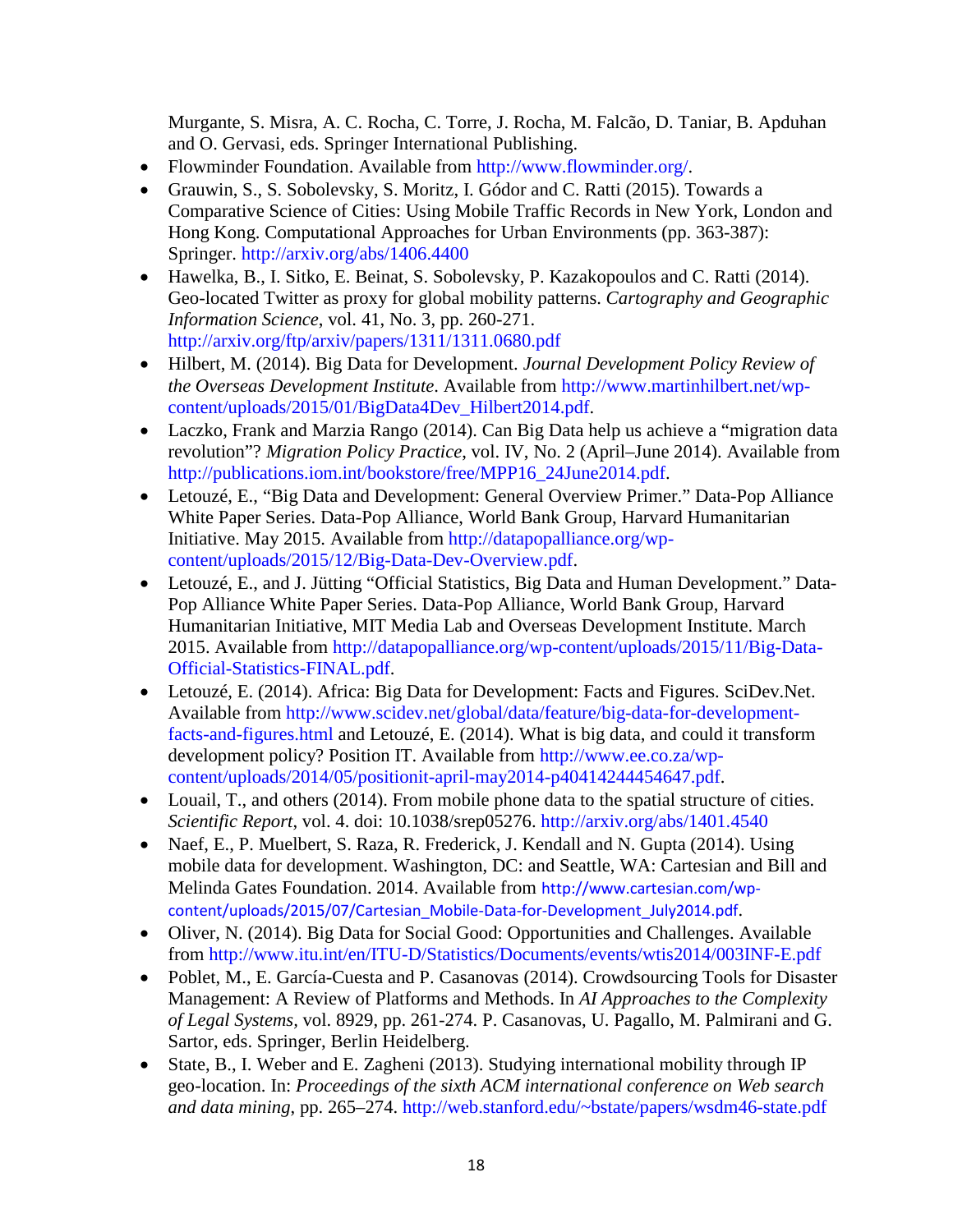Murgante, S. Misra, A. C. Rocha, C. Torre, J. Rocha, M. Falcão, D. Taniar, B. Apduhan and O. Gervasi, eds. Springer International Publishing.

- Flowminder Foundation. Available from [http://www.flowminder.org/.](http://www.flowminder.org/)
- Grauwin, S., S. Sobolevsky, S. Moritz, I. Gódor and C. Ratti (2015). [Towards a](http://arxiv.org/abs/1406.4400)  [Comparative Science of Cities: Using Mobile Traffic Records in New York, London and](http://arxiv.org/abs/1406.4400)  [Hong Kong.](http://arxiv.org/abs/1406.4400) Computational Approaches for Urban Environments (pp. 363-387): Springer. <http://arxiv.org/abs/1406.4400>
- Hawelka, B., I. Sitko, E. Beinat, S. Sobolevsky, P. Kazakopoulos and C. Ratti (2014). [Geo-located Twitter as proxy for global mobility patterns.](http://www.tandfonline.com/doi/abs/10.1080/15230406.2014.890072) *Cartography and Geographic Information Science*, vol. 41, No. 3, pp. 260-271. <http://arxiv.org/ftp/arxiv/papers/1311/1311.0680.pdf>
- Hilbert, M. (2014). Big Data for Development. *Journal Development Policy Review of the Overseas Development Institute*. Available from [http://www.martinhilbert.net/wp](http://www.martinhilbert.net/wp-content/uploads/2015/01/BigData4Dev_Hilbert2014.pdf)[content/uploads/2015/01/BigData4Dev\\_Hilbert2014.pdf.](http://www.martinhilbert.net/wp-content/uploads/2015/01/BigData4Dev_Hilbert2014.pdf)
- Laczko, Frank and Marzia Rango (2014). Can Big Data help us achieve a "migration data revolution"? *Migration Policy Practice*, vol. IV, No. 2 (April–June 2014). Available from [http://publications.iom.int/bookstore/free/MPP16\\_24June2014.pdf.](http://publications.iom.int/bookstore/free/MPP16_24June2014.pdf)
- Letouzé, E., "Big Data and Development: General Overview Primer." Data-Pop Alliance White Paper Series. Data-Pop Alliance, World Bank Group, Harvard Humanitarian Initiative. May 2015. Available from [http://datapopalliance.org/wp](http://datapopalliance.org/wp-content/uploads/2015/12/Big-Data-Dev-Overview.pdf)[content/uploads/2015/12/Big-Data-Dev-Overview.pdf.](http://datapopalliance.org/wp-content/uploads/2015/12/Big-Data-Dev-Overview.pdf)
- Letouzé, E., and J. Jütting "Official Statistics, Big Data and Human Development." Data-Pop Alliance White Paper Series. Data-Pop Alliance, World Bank Group, Harvard Humanitarian Initiative, MIT Media Lab and Overseas Development Institute. March 2015. Available from [http://datapopalliance.org/wp-content/uploads/2015/11/Big-Data-](http://datapopalliance.org/wp-content/uploads/2015/11/Big-Data-Official-Statistics-FINAL.pdf)[Official-Statistics-FINAL.pdf.](http://datapopalliance.org/wp-content/uploads/2015/11/Big-Data-Official-Statistics-FINAL.pdf)
- Letouzé, E. (2014). Africa: Big Data for Development: Facts and Figures. SciDev. Net. Available from [http://www.scidev.net/global/data/feature/big-data-for-development](http://www.scidev.net/global/data/feature/big-data-for-development-facts-and-figures.html)[facts-and-figures.html](http://www.scidev.net/global/data/feature/big-data-for-development-facts-and-figures.html) and Letouzé, E. (2014). What is big data, and could it transform development policy? Position IT. Available from [http://www.ee.co.za/wp](http://www.ee.co.za/wp-content/uploads/2014/05/positionit-april-may2014-p40414244454647.pdf)[content/uploads/2014/05/positionit-april-may2014-p40414244454647.pdf.](http://www.ee.co.za/wp-content/uploads/2014/05/positionit-april-may2014-p40414244454647.pdf)
- Louail, T., and others (2014). [From mobile phone data to the spatial structure of cities.](http://www.nature.com/ncomms/2015/150121/ncomms7007/abs/ncomms7007.html) *Scientific Report*, vol. 4. doi: 10.1038/srep05276. <http://arxiv.org/abs/1401.4540>
- Naef, E., P. Muelbert, S. Raza, R. Frederick, J. Kendall and N. Gupta (2014). Using mobile data for development. Washington, DC: and Seattle, WA: Cartesian and Bill and Melinda Gates Foundation. 2014. Available from [http://www.cartesian.com/wp](http://www.cartesian.com/wp-content/uploads/2015/07/Cartesian_Mobile-Data-for-Development_July2014.pdf)[content/uploads/2015/07/Cartesian\\_Mobile-Data-for-Development\\_July2014.pdf](http://www.cartesian.com/wp-content/uploads/2015/07/Cartesian_Mobile-Data-for-Development_July2014.pdf).
- Oliver, N. (2014). Big Data for Social Good: Opportunities and Challenges. Available from<http://www.itu.int/en/ITU-D/Statistics/Documents/events/wtis2014/003INF-E.pdf>
- Poblet, M., E. García-Cuesta and P. Casanovas (2014). Crowdsourcing Tools for Disaster Management: A Review of Platforms and Methods. In *AI Approaches to the Complexity of Legal Systems,* vol. 8929, pp. 261-274. P. Casanovas, U. Pagallo, M. Palmirani and G. Sartor, eds. Springer, Berlin Heidelberg.
- State, B., I. Weber and E. Zagheni (2013). [Studying international mobility through IP](http://web.stanford.edu/%7Ebstate/papers/wsdm46-state.pdf)  [geo-location.](http://web.stanford.edu/%7Ebstate/papers/wsdm46-state.pdf) In: *Proceedings of the sixth ACM international conference on Web search and data mining*, pp. 265–274. [http://web.stanford.edu/~bstate/papers/wsdm46-state.pdf](http://web.stanford.edu/%7Ebstate/papers/wsdm46-state.pdf)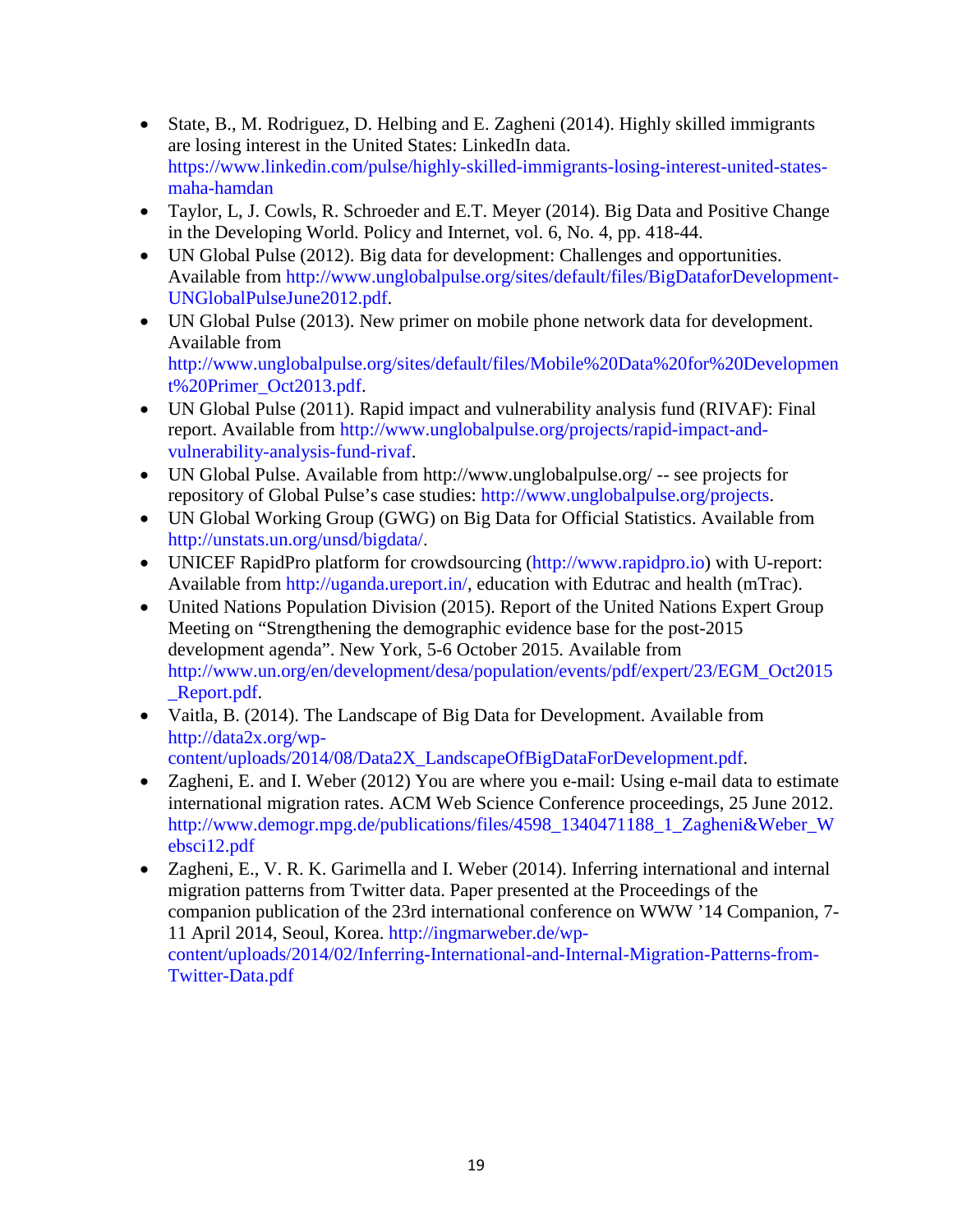- State, B., M. Rodriguez, D. Helbing and E. Zagheni (2014). Highly skilled immigrants [are losing interest in the United States: LinkedIn data.](https://www.linkedin.com/pulse/highly-skilled-immigrants-losing-interest-united-states-maha-hamdan) [https://www.linkedin.com/pulse/highly-skilled-immigrants-losing-interest-united-states](https://www.linkedin.com/pulse/highly-skilled-immigrants-losing-interest-united-states-maha-hamdan)[maha-hamdan](https://www.linkedin.com/pulse/highly-skilled-immigrants-losing-interest-united-states-maha-hamdan)
- Taylor, L, J. Cowls, R. Schroeder and E.T. Meyer (2014). Big Data and Positive Change in the Developing World. Policy and Internet, vol. 6, No. 4, pp. 418-44.
- UN Global Pulse (2012). Big data for development: Challenges and opportunities. Available from [http://www.unglobalpulse.org/sites/default/files/BigDataforDevelopment-](http://www.unglobalpulse.org/sites/default/files/BigDataforDevelopment-UNGlobalPulseJune2012.pdf)[UNGlobalPulseJune2012.pdf.](http://www.unglobalpulse.org/sites/default/files/BigDataforDevelopment-UNGlobalPulseJune2012.pdf)
- UN Global Pulse (2013). New primer on mobile phone network data for development. Available from [http://www.unglobalpulse.org/sites/default/files/Mobile%20Data%20for%20Developmen](http://www.unglobalpulse.org/sites/default/files/Mobile%20Data%20for%20Development%20Primer_Oct2013.pdf) [t%20Primer\\_Oct2013.pdf.](http://www.unglobalpulse.org/sites/default/files/Mobile%20Data%20for%20Development%20Primer_Oct2013.pdf)
- UN Global Pulse (2011). Rapid impact and vulnerability analysis fund (RIVAF): Final report. Available from [http://www.unglobalpulse.org/projects/rapid-impact-and](http://www.unglobalpulse.org/projects/rapid-impact-and-vulnerability-analysis-fund-rivaf)[vulnerability-analysis-fund-rivaf.](http://www.unglobalpulse.org/projects/rapid-impact-and-vulnerability-analysis-fund-rivaf)
- UN Global Pulse. Available from <http://www.unglobalpulse.org/> -- see projects for repository of Global Pulse's case studies: [http://www.unglobalpulse.org/projects.](http://www.unglobalpulse.org/projects)
- UN Global Working Group (GWG) on Big Data for Official Statistics. Available from [http://unstats.un.org/unsd/bigdata/.](http://unstats.un.org/unsd/bigdata/)
- UNICEF RapidPro platform for crowdsourcing [\(http://www.rapidpro.io\)](http://www.rapidpro.io/) with U-report: Available from [http://uganda.ureport.in/,](http://uganda.ureport.in/) education with Edutrac and health (mTrac).
- United Nations Population Division (2015). Report of the United Nations Expert Group Meeting on "Strengthening the demographic evidence base for the post-2015 development agenda". New York, 5-6 October 2015. Available from [http://www.un.org/en/development/desa/population/events/pdf/expert/23/EGM\\_Oct2015](http://www.un.org/en/development/desa/population/events/pdf/expert/23/EGM_Oct2015_Report.pdf) [\\_Report.pdf.](http://www.un.org/en/development/desa/population/events/pdf/expert/23/EGM_Oct2015_Report.pdf)
- Vaitla, B. (2014). The Landscape of Big Data for Development. Available from [http://data2x.org/wp](http://data2x.org/wp-content/uploads/2014/08/Data2X_LandscapeOfBigDataForDevelopment.pdf)[content/uploads/2014/08/Data2X\\_LandscapeOfBigDataForDevelopment.pdf.](http://data2x.org/wp-content/uploads/2014/08/Data2X_LandscapeOfBigDataForDevelopment.pdf)
- Zagheni, E. and I. Weber (2012) [You are where you e-mail: Using e-mail data to estimate](http://www.demogr.mpg.de/publications/files/4598_1340471188_1_Zagheni&Weber_Websci12.pdf)  [international migration rates.](http://www.demogr.mpg.de/publications/files/4598_1340471188_1_Zagheni&Weber_Websci12.pdf) ACM Web Science Conference proceedings, 25 June 2012. [http://www.demogr.mpg.de/publications/files/4598\\_1340471188\\_1\\_Zagheni&Weber\\_W](http://www.demogr.mpg.de/publications/files/4598_1340471188_1_Zagheni&Weber_Websci12.pdf) [ebsci12.pdf](http://www.demogr.mpg.de/publications/files/4598_1340471188_1_Zagheni&Weber_Websci12.pdf)
- Zagheni, E., V. R. K. Garimella and I. Weber (2014). [Inferring international and internal](http://ingmarweber.de/wp-content/uploads/2014/02/Inferring-International-and-Internal-Migration-Patterns-from-Twitter-Data.pdf)  [migration patterns from Twitter data.](http://ingmarweber.de/wp-content/uploads/2014/02/Inferring-International-and-Internal-Migration-Patterns-from-Twitter-Data.pdf) Paper presented at the Proceedings of the companion publication of the 23rd international conference on WWW '14 Companion, 7- 11 April 2014, Seoul, Korea. [http://ingmarweber.de/wp](http://ingmarweber.de/wp-content/uploads/2014/02/Inferring-International-and-Internal-Migration-Patterns-from-Twitter-Data.pdf)[content/uploads/2014/02/Inferring-International-and-Internal-Migration-Patterns-from-](http://ingmarweber.de/wp-content/uploads/2014/02/Inferring-International-and-Internal-Migration-Patterns-from-Twitter-Data.pdf)[Twitter-Data.pdf](http://ingmarweber.de/wp-content/uploads/2014/02/Inferring-International-and-Internal-Migration-Patterns-from-Twitter-Data.pdf)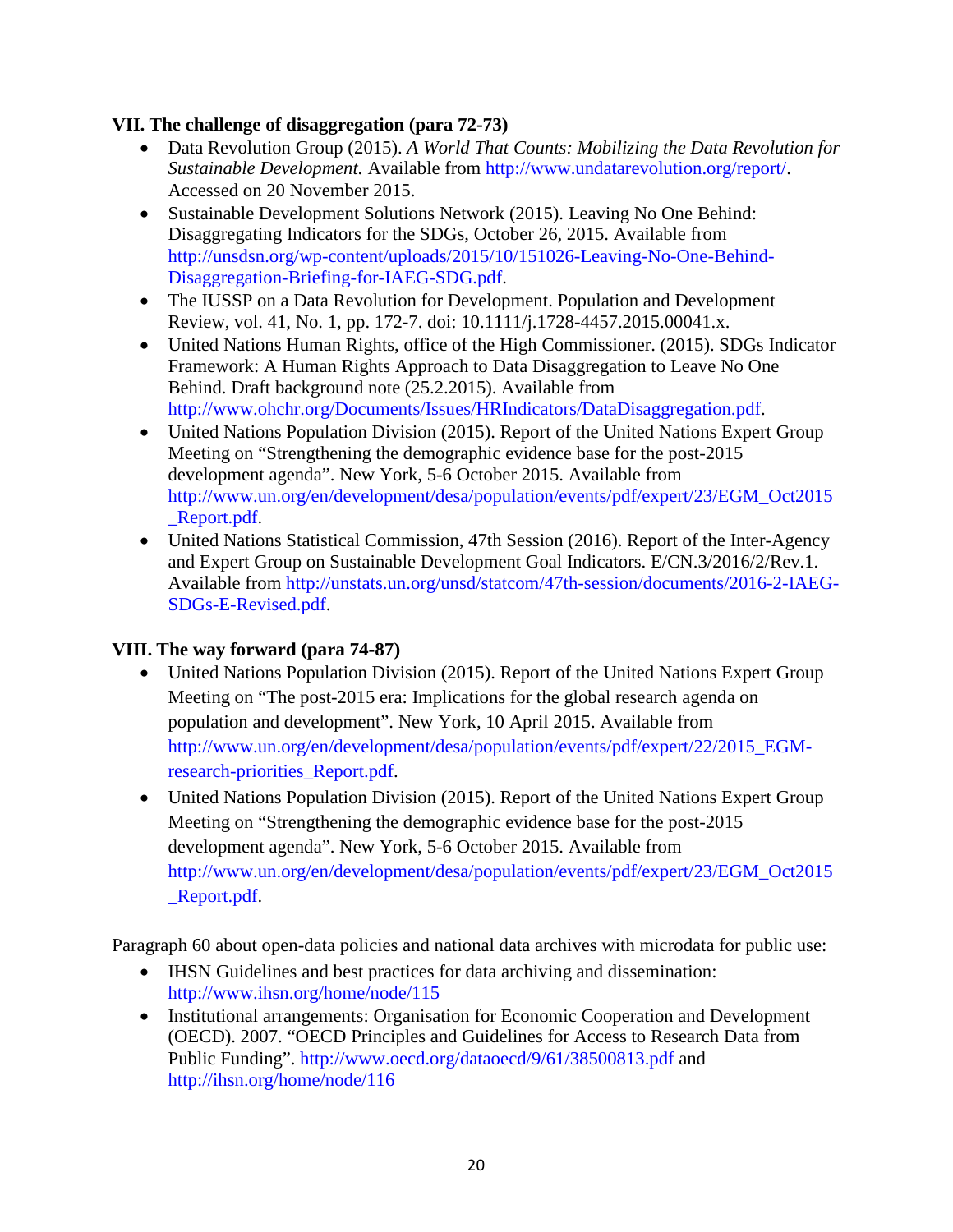#### **VII. The challenge of disaggregation (para 72-73)**

- Data Revolution Group (2015). *A World That Counts: Mobilizing the Data Revolution for Sustainable Development.* Available from [http://www.undatarevolution.org/report/.](http://www.undatarevolution.org/report/) Accessed on 20 November 2015.
- Sustainable Development Solutions Network (2015). Leaving No One Behind: Disaggregating Indicators for the SDGs, October 26, 2015. Available from [http://unsdsn.org/wp-content/uploads/2015/10/151026-Leaving-No-One-Behind-](http://unsdsn.org/wp-content/uploads/2015/10/151026-Leaving-No-One-Behind-Disaggregation-Briefing-for-IAEG-SDG.pdf)[Disaggregation-Briefing-for-IAEG-SDG.pdf.](http://unsdsn.org/wp-content/uploads/2015/10/151026-Leaving-No-One-Behind-Disaggregation-Briefing-for-IAEG-SDG.pdf)
- The IUSSP on a Data Revolution for Development. Population and Development Review, vol. 41, No. 1, pp. 172-7. doi: 10.1111/j.1728-4457.2015.00041.x.
- United Nations Human Rights, office of the High Commissioner. (2015). SDGs Indicator Framework: A Human Rights Approach to Data Disaggregation to Leave No One Behind. Draft background note (25.2.2015). Available from [http://www.ohchr.org/Documents/Issues/HRIndicators/DataDisaggregation.pdf.](http://www.ohchr.org/Documents/Issues/HRIndicators/DataDisaggregation.pdf)
- United Nations Population Division (2015). Report of the United Nations Expert Group Meeting on "Strengthening the demographic evidence base for the post-2015 development agenda". New York, 5-6 October 2015. Available from [http://www.un.org/en/development/desa/population/events/pdf/expert/23/EGM\\_Oct2015](http://www.un.org/en/development/desa/population/events/pdf/expert/23/EGM_Oct2015_Report.pdf) [\\_Report.pdf.](http://www.un.org/en/development/desa/population/events/pdf/expert/23/EGM_Oct2015_Report.pdf)
- United Nations Statistical Commission, 47th Session (2016). Report of the Inter-Agency and Expert Group on Sustainable Development Goal Indicators. E/CN.3/2016/2/Rev.1. Available from [http://unstats.un.org/unsd/statcom/47th-session/documents/2016-2-IAEG-](http://unstats.un.org/unsd/statcom/47th-session/documents/2016-2-IAEG-SDGs-E-Revised.pdf)[SDGs-E-Revised.pdf.](http://unstats.un.org/unsd/statcom/47th-session/documents/2016-2-IAEG-SDGs-E-Revised.pdf)

#### **VIII. The way forward (para 74-87)**

- United Nations Population Division (2015). Report of the United Nations Expert Group Meeting on "The post-2015 era: Implications for the global research agenda on population and development". New York, 10 April 2015. Available from [http://www.un.org/en/development/desa/population/events/pdf/expert/22/2015\\_EGM](http://www.un.org/en/development/desa/population/events/pdf/expert/22/2015_EGM-research-priorities_Report.pdf)[research-priorities\\_Report.pdf.](http://www.un.org/en/development/desa/population/events/pdf/expert/22/2015_EGM-research-priorities_Report.pdf)
- United Nations Population Division (2015). Report of the United Nations Expert Group Meeting on "Strengthening the demographic evidence base for the post-2015 development agenda". New York, 5-6 October 2015. Available from [http://www.un.org/en/development/desa/population/events/pdf/expert/23/EGM\\_Oct2015](http://www.un.org/en/development/desa/population/events/pdf/expert/23/EGM_Oct2015_Report.pdf) [\\_Report.pdf.](http://www.un.org/en/development/desa/population/events/pdf/expert/23/EGM_Oct2015_Report.pdf)

Paragraph 60 about open-data policies and national data archives with microdata for public use:

- IHSN Guidelines and best practices for data archiving and dissemination: <http://www.ihsn.org/home/node/115>
- Institutional arrangements: Organisation for Economic Cooperation and Development (OECD). 2007. "OECD Principles and Guidelines for Access to Research Data from Public Funding".<http://www.oecd.org/dataoecd/9/61/38500813.pdf> and <http://ihsn.org/home/node/116>